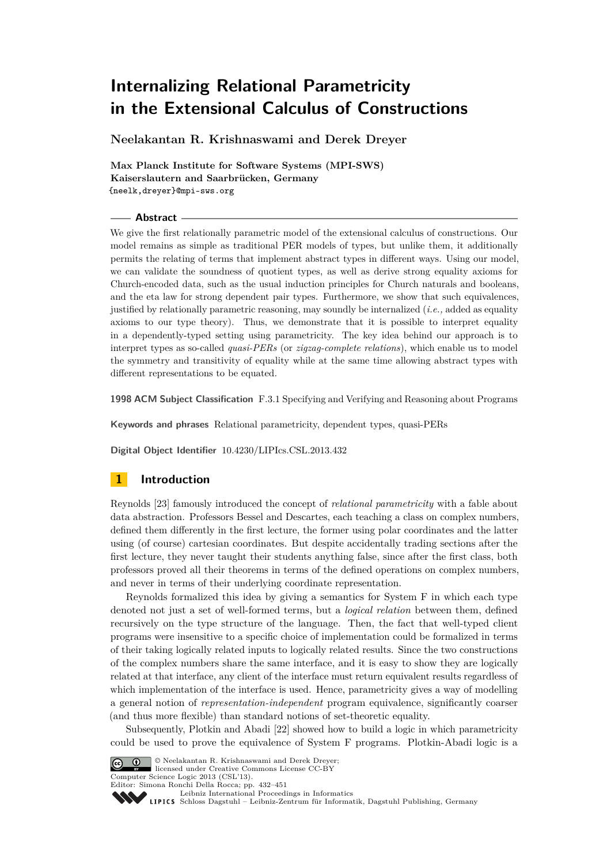**Neelakantan R. Krishnaswami and Derek Dreyer**

**Max Planck Institute for Software Systems (MPI-SWS) Kaiserslautern and Saarbrücken, Germany** {neelk,dreyer}@mpi-sws.org

#### **Abstract**

We give the first relationally parametric model of the extensional calculus of constructions. Our model remains as simple as traditional PER models of types, but unlike them, it additionally permits the relating of terms that implement abstract types in different ways. Using our model, we can validate the soundness of quotient types, as well as derive strong equality axioms for Church-encoded data, such as the usual induction principles for Church naturals and booleans, and the eta law for strong dependent pair types. Furthermore, we show that such equivalences, justified by relationally parametric reasoning, may soundly be internalized (*i.e.,* added as equality axioms to our type theory). Thus, we demonstrate that it is possible to interpret equality in a dependently-typed setting using parametricity. The key idea behind our approach is to interpret types as so-called *quasi-PERs* (or *zigzag-complete relations*), which enable us to model the symmetry and transitivity of equality while at the same time allowing abstract types with different representations to be equated.

**1998 ACM Subject Classification** F.3.1 Specifying and Verifying and Reasoning about Programs

**Keywords and phrases** Relational parametricity, dependent types, quasi-PERs

**Digital Object Identifier** [10.4230/LIPIcs.CSL.2013.432](http://dx.doi.org/10.4230/LIPIcs.CSL.2013.432)

# **1 Introduction**

Reynolds [\[23\]](#page-15-0) famously introduced the concept of *relational parametricity* with a fable about data abstraction. Professors Bessel and Descartes, each teaching a class on complex numbers, defined them differently in the first lecture, the former using polar coordinates and the latter using (of course) cartesian coordinates. But despite accidentally trading sections after the first lecture, they never taught their students anything false, since after the first class, both professors proved all their theorems in terms of the defined operations on complex numbers, and never in terms of their underlying coordinate representation.

Reynolds formalized this idea by giving a semantics for System F in which each type denoted not just a set of well-formed terms, but a *logical relation* between them, defined recursively on the type structure of the language. Then, the fact that well-typed client programs were insensitive to a specific choice of implementation could be formalized in terms of their taking logically related inputs to logically related results. Since the two constructions of the complex numbers share the same interface, and it is easy to show they are logically related at that interface, any client of the interface must return equivalent results regardless of which implementation of the interface is used. Hence, parametricity gives a way of modelling a general notion of *representation-independent* program equivalence, significantly coarser (and thus more flexible) than standard notions of set-theoretic equality.

Subsequently, Plotkin and Abadi [\[22\]](#page-15-1) showed how to build a logic in which parametricity could be used to prove the equivalence of System F programs. Plotkin-Abadi logic is a



© Neelakantan R. Krishnaswami and Derek Dreyer; licensed under Creative Commons License CC-BY Computer Science Logic 2013 (CSL'13).

Editor: Simona Ronchi Della Rocca; pp. 432[–451](#page-19-0)

[Leibniz International Proceedings in Informatics](http://www.dagstuhl.de/lipics/)

Leibniz international Froceedings in informatik, Dagstuhl Publishing, Germany<br>LIPICS [Schloss Dagstuhl – Leibniz-Zentrum für Informatik, Dagstuhl Publishing, Germany](http://www.dagstuhl.de)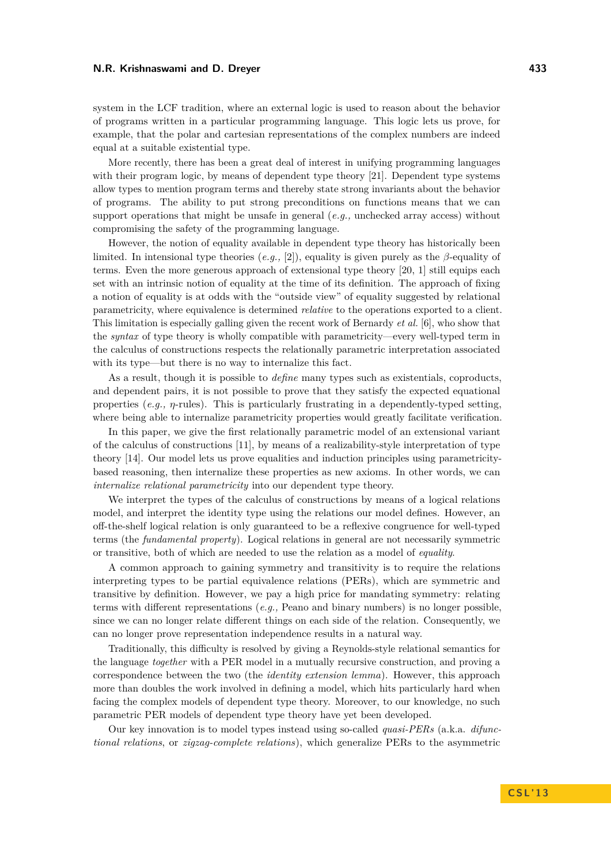system in the LCF tradition, where an external logic is used to reason about the behavior of programs written in a particular programming language. This logic lets us prove, for example, that the polar and cartesian representations of the complex numbers are indeed equal at a suitable existential type.

More recently, there has been a great deal of interest in unifying programming languages with their program logic, by means of dependent type theory [\[21\]](#page-15-2). Dependent type systems allow types to mention program terms and thereby state strong invariants about the behavior of programs. The ability to put strong preconditions on functions means that we can support operations that might be unsafe in general (*e.g.,* unchecked array access) without compromising the safety of the programming language.

However, the notion of equality available in dependent type theory has historically been limited. In intensional type theories  $(e,q, [2])$  $(e,q, [2])$  $(e,q, [2])$ , equality is given purely as the *β*-equality of terms. Even the more generous approach of extensional type theory [\[20,](#page-15-3) [1\]](#page-14-1) still equips each set with an intrinsic notion of equality at the time of its definition. The approach of fixing a notion of equality is at odds with the "outside view" of equality suggested by relational parametricity, where equivalence is determined *relative* to the operations exported to a client. This limitation is especially galling given the recent work of Bernardy *et al.* [\[6\]](#page-14-2), who show that the *syntax* of type theory is wholly compatible with parametricity—every well-typed term in the calculus of constructions respects the relationally parametric interpretation associated with its type—but there is no way to internalize this fact.

As a result, though it is possible to *define* many types such as existentials, coproducts, and dependent pairs, it is not possible to prove that they satisfy the expected equational properties (*e.g.*,  $\eta$ -rules). This is particularly frustrating in a dependently-typed setting, where being able to internalize parametricity properties would greatly facilitate verification.

In this paper, we give the first relationally parametric model of an extensional variant of the calculus of constructions [\[11\]](#page-15-4), by means of a realizability-style interpretation of type theory [\[14\]](#page-15-5). Our model lets us prove equalities and induction principles using parametricitybased reasoning, then internalize these properties as new axioms. In other words, we can *internalize relational parametricity* into our dependent type theory.

We interpret the types of the calculus of constructions by means of a logical relations model, and interpret the identity type using the relations our model defines. However, an off-the-shelf logical relation is only guaranteed to be a reflexive congruence for well-typed terms (the *fundamental property*). Logical relations in general are not necessarily symmetric or transitive, both of which are needed to use the relation as a model of *equality*.

A common approach to gaining symmetry and transitivity is to require the relations interpreting types to be partial equivalence relations (PERs), which are symmetric and transitive by definition. However, we pay a high price for mandating symmetry: relating terms with different representations (*e.g.,* Peano and binary numbers) is no longer possible, since we can no longer relate different things on each side of the relation. Consequently, we can no longer prove representation independence results in a natural way.

Traditionally, this difficulty is resolved by giving a Reynolds-style relational semantics for the language *together* with a PER model in a mutually recursive construction, and proving a correspondence between the two (the *identity extension lemma*). However, this approach more than doubles the work involved in defining a model, which hits particularly hard when facing the complex models of dependent type theory. Moreover, to our knowledge, no such parametric PER models of dependent type theory have yet been developed.

Our key innovation is to model types instead using so-called *quasi-PERs* (a.k.a. *difunctional relations*, or *zigzag-complete relations*), which generalize PERs to the asymmetric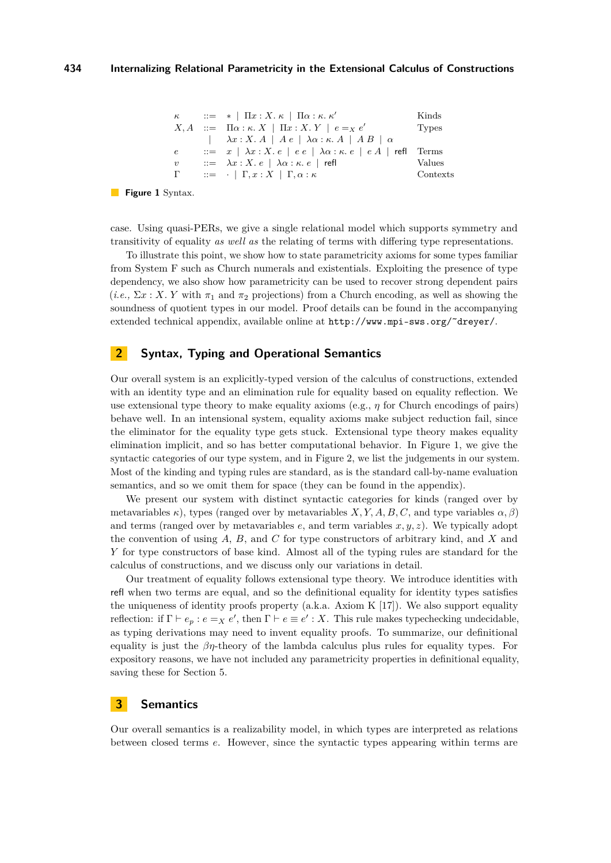<span id="page-2-0"></span>

| $\kappa$                                                                                              | ::= *   \n $\Pi x : X \cdot \kappa   \n        \Pi \alpha : \kappa \cdot \kappa'$            | Kinds       |
|-------------------------------------------------------------------------------------------------------|----------------------------------------------------------------------------------------------|-------------|
| $X, A$                                                                                                | ::= $\Pi \alpha : \kappa \cdot X   \n        \Pi x : X \cdot Y   e = x e'$                   | Types       |
| \n $\lambda x : X \cdot A   A e   \n        \lambda \alpha : \kappa \cdot A   A B   \n        \alpha$ |                                                                                              |             |
| $e$                                                                                                   | ::= x   \n $\lambda x : X \cdot e   e e   \n        \lambda \alpha : \kappa \cdot e   e A  $ | refl Terms  |
| $v$                                                                                                   | ::= $\lambda x : X \cdot e   \n        \lambda \alpha : \kappa \cdot e  $                    | refl Values |
| $\Gamma$                                                                                              | ::= \n $ \n        \Gamma, x : X   \n        \Gamma, \alpha : \kappa$                        | Contexts    |

#### **Figure 1** Syntax.

case. Using quasi-PERs, we give a single relational model which supports symmetry and transitivity of equality *as well as* the relating of terms with differing type representations.

To illustrate this point, we show how to state parametricity axioms for some types familiar from System F such as Church numerals and existentials. Exploiting the presence of type dependency, we also show how parametricity can be used to recover strong dependent pairs  $(i.e., \Sigma x : X, Y \text{ with } \pi_1 \text{ and } \pi_2 \text{ projections}$  from a Church encoding, as well as showing the soundness of quotient types in our model. Proof details can be found in the accompanying extended technical appendix, available online at http://www.mpi-sws.org/~dreyer/.

# **2 Syntax, Typing and Operational Semantics**

Our overall system is an explicitly-typed version of the calculus of constructions, extended with an identity type and an elimination rule for equality based on equality reflection. We use extensional type theory to make equality axioms (e.g.,  $\eta$  for Church encodings of pairs) behave well. In an intensional system, equality axioms make subject reduction fail, since the eliminator for the equality type gets stuck. Extensional type theory makes equality elimination implicit, and so has better computational behavior. In Figure [1,](#page-2-0) we give the syntactic categories of our type system, and in Figure [2,](#page-3-0) we list the judgements in our system. Most of the kinding and typing rules are standard, as is the standard call-by-name evaluation semantics, and so we omit them for space (they can be found in the appendix).

We present our system with distinct syntactic categories for kinds (ranged over by metavariables  $\kappa$ ), types (ranged over by metavariables *X*, *Y*, *A*, *B*, *C*, and type variables  $\alpha$ ,  $\beta$ ) and terms (ranged over by metavariables *e*, and term variables *x, y, z*). We typically adopt the convention of using *A*, *B*, and *C* for type constructors of arbitrary kind, and *X* and *Y* for type constructors of base kind. Almost all of the typing rules are standard for the calculus of constructions, and we discuss only our variations in detail.

Our treatment of equality follows extensional type theory. We introduce identities with refl when two terms are equal, and so the definitional equality for identity types satisfies the uniqueness of identity proofs property (a.k.a. Axiom K  $[17]$ ). We also support equality reflection: if  $\Gamma \vdash e_p : e = X e'$ , then  $\Gamma \vdash e \equiv e' : X$ . This rule makes typechecking undecidable, as typing derivations may need to invent equality proofs. To summarize, our definitional equality is just the *βη*-theory of the lambda calculus plus rules for equality types. For expository reasons, we have not included any parametricity properties in definitional equality, saving these for Section [5.](#page-9-0)

# **3 Semantics**

Our overall semantics is a realizability model, in which types are interpreted as relations between closed terms *e*. However, since the syntactic types appearing within terms are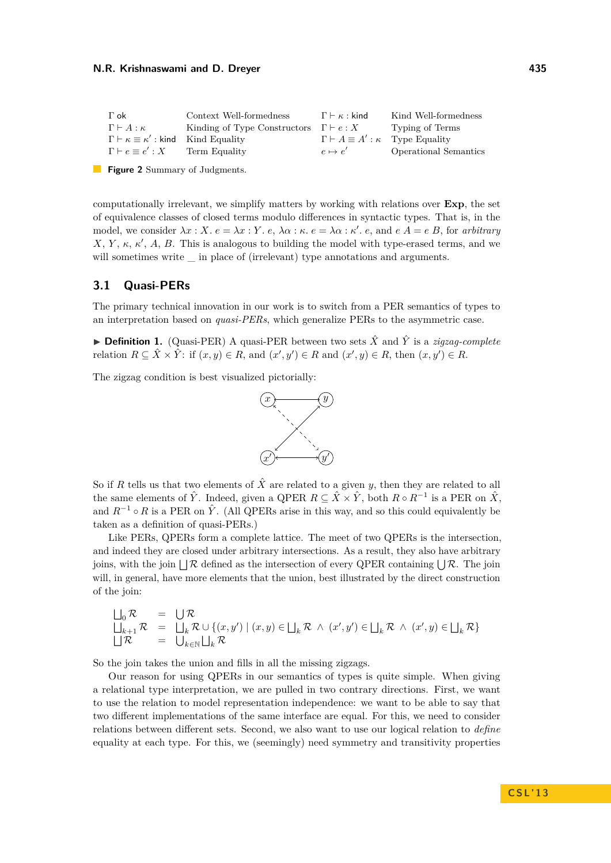<span id="page-3-0"></span>

| $\Gamma$ ok                                                | Context Well-formedness                            | $\Gamma \vdash \kappa :$ kind                      | Kind Well-formedness         |
|------------------------------------------------------------|----------------------------------------------------|----------------------------------------------------|------------------------------|
| $\Gamma \vdash A : \kappa$                                 | Kinding of Type Constructors $\Gamma \vdash e : X$ |                                                    | Typing of Terms              |
| $\Gamma \vdash \kappa \equiv \kappa'$ : kind Kind Equality |                                                    | $\Gamma \vdash A \equiv A' : \kappa$ Type Equality |                              |
| $\Gamma \vdash e \equiv e' : X$                            | Term Equality                                      | $e \mapsto e'$                                     | <b>Operational Semantics</b> |

**Figure 2** Summary of Judgments.

computationally irrelevant, we simplify matters by working with relations over **Exp**, the set of equivalence classes of closed terms modulo differences in syntactic types. That is, in the model, we consider  $\lambda x : X$ .  $e = \lambda x : Y$ .  $e, \lambda \alpha : \kappa \cdot e = \lambda \alpha : \kappa' \cdot e$ , and  $e A = e B$ , for *arbitrary*  $X, Y, \kappa, \kappa', A, B$ . This is analogous to building the model with type-erased terms, and we will sometimes write  $\equiv$  in place of (irrelevant) type annotations and arguments.

# **3.1 Quasi-PERs**

The primary technical innovation in our work is to switch from a PER semantics of types to an interpretation based on *quasi-PERs*, which generalize PERs to the asymmetric case.

**Definition 1.** (Quasi-PER) A quasi-PER between two sets  $\hat{X}$  and  $\hat{Y}$  is a *zigzag-complete* relation  $R \subseteq \hat{X} \times \hat{Y}$ : if  $(x, y) \in R$ , and  $(x', y') \in R$  and  $(x', y) \in R$ , then  $(x, y') \in R$ .

The zigzag condition is best visualized pictorially:



So if *R* tells us that two elements of  $\hat{X}$  are related to a given *y*, then they are related to all the same elements of  $\hat{Y}$ . Indeed, given a QPER  $R \subseteq \hat{X} \times \hat{Y}$ , both  $R \circ R^{-1}$  is a PER on  $\hat{X}$ , and  $R^{-1} \circ R$  is a PER on  $\hat{Y}$ . (All QPERs arise in this way, and so this could equivalently be taken as a definition of quasi-PERs.)

Like PERs, QPERs form a complete lattice. The meet of two QPERs is the intersection, and indeed they are closed under arbitrary intersections. As a result, they also have arbitrary joins, with the join  $\bigcup \mathcal{R}$  defined as the intersection of every QPER containing  $\bigcup \mathcal{R}$ . The join will, in general, have more elements that the union, best illustrated by the direct construction of the join:

$$
\bigcup_{k=1}^{n} \mathcal{R} = \bigcup_{k \in \mathbb{N}} \mathcal{R} = \bigcup_{k \in \mathbb{N}} \mathcal{R} \cup \{(x, y') \mid (x, y) \in \bigsqcup_{k} \mathcal{R} \land (x', y') \in \bigsqcup_{k} \mathcal{R} \land (x', y) \in \bigsqcup_{k} \mathcal{R} \}
$$
\n
$$
\bigcup_{k \in \mathbb{N}} \mathcal{R} = \bigcup_{k \in \mathbb{N}} \bigsqcup_{k} \mathcal{R}
$$

So the join takes the union and fills in all the missing zigzags.

Our reason for using QPERs in our semantics of types is quite simple. When giving a relational type interpretation, we are pulled in two contrary directions. First, we want to use the relation to model representation independence: we want to be able to say that two different implementations of the same interface are equal. For this, we need to consider relations between different sets. Second, we also want to use our logical relation to *define* equality at each type. For this, we (seemingly) need symmetry and transitivity properties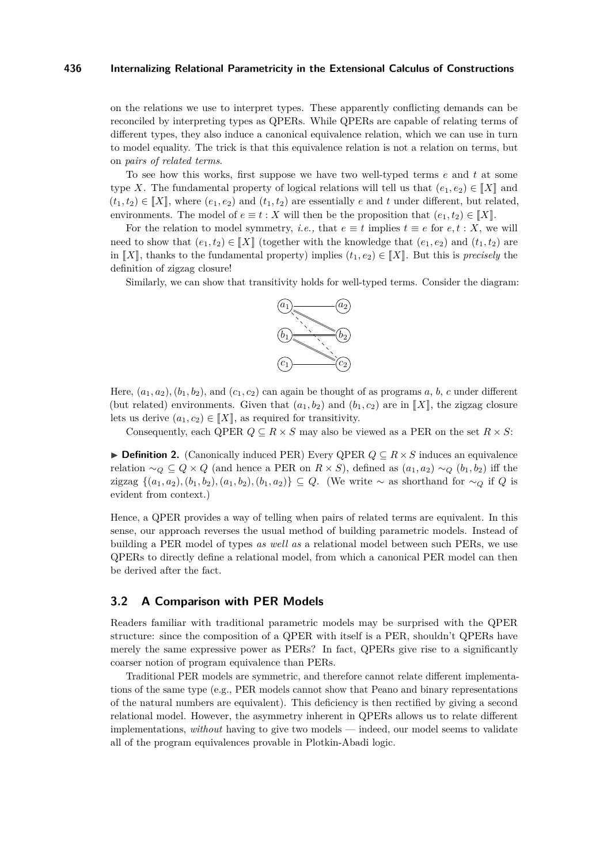on the relations we use to interpret types. These apparently conflicting demands can be reconciled by interpreting types as QPERs. While QPERs are capable of relating terms of different types, they also induce a canonical equivalence relation, which we can use in turn to model equality. The trick is that this equivalence relation is not a relation on terms, but on *pairs of related terms*.

To see how this works, first suppose we have two well-typed terms *e* and *t* at some type *X*. The fundamental property of logical relations will tell us that  $(e_1, e_2) \in [X]$  and  $(t_1, t_2) \in \llbracket X \rrbracket$ , where  $(e_1, e_2)$  and  $(t_1, t_2)$  are essentially *e* and *t* under different, but related, environments. The model of  $e \equiv t : X$  will then be the proposition that  $(e_1, t_2) \in [X]$ .

For the relation to model symmetry, *i.e.*, that  $e \equiv t$  implies  $t \equiv e$  for  $e, t : X$ , we will need to show that  $(e_1, t_2) \in [X]$  (together with the knowledge that  $(e_1, e_2)$  and  $(t_1, t_2)$  are in  $\llbracket X \rrbracket$ , thanks to the fundamental property) implies  $(t_1, e_2) \in \llbracket X \rrbracket$ . But this is *precisely* the definition of zigzag closure!

Similarly, we can show that transitivity holds for well-typed terms. Consider the diagram:



Here,  $(a_1, a_2)$ ,  $(b_1, b_2)$ , and  $(c_1, c_2)$  can again be thought of as programs  $a, b, c$  under different (but related) environments. Given that  $(a_1, b_2)$  and  $(b_1, c_2)$  are in  $\llbracket X \rrbracket$ , the zigzag closure lets us derive  $(a_1, c_2) \in [[X]],$  as required for transitivity.

Consequently, each QPER  $Q \subseteq R \times S$  may also be viewed as a PER on the set  $R \times S$ :

I **Definition 2.** (Canonically induced PER) Every QPER *Q* ⊆ *R* × *S* induces an equivalence relation  $\sim_Q \subseteq Q \times Q$  (and hence a PER on  $R \times S$ ), defined as  $(a_1, a_2) \sim_Q (b_1, b_2)$  iff the zigzag {(*a*1*, a*2)*,*(*b*1*, b*2)*,*(*a*1*, b*2)*,*(*b*1*, a*2)} ⊆ *Q*. (We write ∼ as shorthand for ∼*<sup>Q</sup>* if *Q* is evident from context.)

Hence, a QPER provides a way of telling when pairs of related terms are equivalent. In this sense, our approach reverses the usual method of building parametric models. Instead of building a PER model of types *as well as* a relational model between such PERs, we use QPERs to directly define a relational model, from which a canonical PER model can then be derived after the fact.

## **3.2 A Comparison with PER Models**

Readers familiar with traditional parametric models may be surprised with the QPER structure: since the composition of a QPER with itself is a PER, shouldn't QPERs have merely the same expressive power as PERs? In fact, QPERs give rise to a significantly coarser notion of program equivalence than PERs.

Traditional PER models are symmetric, and therefore cannot relate different implementations of the same type (e.g., PER models cannot show that Peano and binary representations of the natural numbers are equivalent). This deficiency is then rectified by giving a second relational model. However, the asymmetry inherent in QPERs allows us to relate different implementations, *without* having to give two models — indeed, our model seems to validate all of the program equivalences provable in Plotkin-Abadi logic.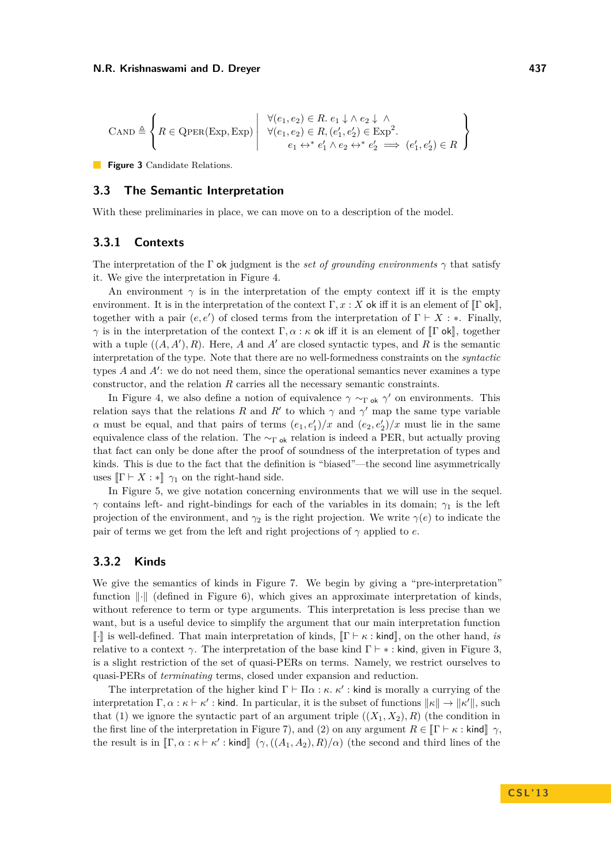<span id="page-5-0"></span>
$$
\text{CAND} \triangleq \left\{ R \in \text{QPER}(\text{Exp}, \text{Exp}) \mid \begin{array}{c} \forall (e_1, e_2) \in R. \ e_1 \downarrow \wedge e_2 \downarrow \wedge \\ \forall (e_1, e_2) \in R, (e'_1, e'_2) \in \text{Exp}^2. \\ e_1 \leftrightarrow^* e'_1 \wedge e_2 \leftrightarrow^* e'_2 \implies (e'_1, e'_2) \in R \end{array} \right\}
$$

**Figure 3** Candidate Relations.

## **3.3 The Semantic Interpretation**

With these preliminaries in place, we can move on to a description of the model.

# **3.3.1 Contexts**

The interpretation of the Γ ok judgment is the *set of grounding environments*  $\gamma$  that satisfy it. We give the interpretation in Figure [4.](#page-6-0)

An environment  $\gamma$  is in the interpretation of the empty context iff it is the empty environment. It is in the interpretation of the context  $\Gamma, x : X$  ok iff it is an element of  $\Gamma$  ok, together with a pair  $(e, e')$  of closed terms from the interpretation of  $\Gamma \vdash X : *$ . Finally, *γ* is in the interpretation of the context  $\Gamma, \alpha : \kappa$  ok iff it is an element of  $\Gamma$  ok,, together with a tuple  $((A, A'), R)$ . Here, *A* and *A'* are closed syntactic types, and *R* is the semantic interpretation of the type. Note that there are no well-formedness constraints on the *syntactic* types  $A$  and  $A'$ : we do not need them, since the operational semantics never examines a type constructor, and the relation *R* carries all the necessary semantic constraints.

In Figure [4,](#page-6-0) we also define a notion of equivalence  $\gamma \sim_{\Gamma \text{ok}} \gamma'$  on environments. This relation says that the relations *R* and *R'* to which  $\gamma$  and  $\gamma'$  map the same type variable *α* must be equal, and that pairs of terms  $(e_1, e'_1)/x$  and  $(e_2, e'_2)/x$  must lie in the same equivalence class of the relation. The  $\sim_{\Gamma \text{ok}}$  relation is indeed a PER, but actually proving that fact can only be done after the proof of soundness of the interpretation of types and kinds. This is due to the fact that the definition is "biased"—the second line asymmetrically uses  $\Vert \Gamma \vdash X : \Vert \gamma_1$  on the right-hand side.

In Figure [5,](#page-6-1) we give notation concerning environments that we will use in the sequel. *γ* contains left- and right-bindings for each of the variables in its domain;  $γ_1$  is the left projection of the environment, and  $\gamma_2$  is the right projection. We write  $\gamma(e)$  to indicate the pair of terms we get from the left and right projections of  $\gamma$  applied to *e*.

## **3.3.2 Kinds**

We give the semantics of kinds in Figure [7.](#page-7-0) We begin by giving a "pre-interpretation" function  $\|\cdot\|$  (defined in Figure [6\)](#page-7-1), which gives an approximate interpretation of kinds, without reference to term or type arguments. This interpretation is less precise than we want, but is a useful device to simplify the argument that our main interpretation function  $\llbracket \cdot \rrbracket$  is well-defined. That main interpretation of kinds,  $\llbracket \Gamma \vdash \kappa : \mathsf{kind} \rrbracket$ , on the other hand, *is* relative to a context  $\gamma$ . The interpretation of the base kind  $\Gamma \vdash * :$  kind, given in Figure [3,](#page-5-0) is a slight restriction of the set of quasi-PERs on terms. Namely, we restrict ourselves to quasi-PERs of *terminating* terms, closed under expansion and reduction.

The interpretation of the higher kind  $\Gamma \vdash \Pi \alpha : \kappa \cdot \kappa'$  : kind is morally a currying of the interpretation  $\Gamma, \alpha : \kappa \vdash \kappa' :$  kind. In particular, it is the subset of functions  $\|\kappa\| \to \|\kappa'\|$ , such that (1) we ignore the syntactic part of an argument triple  $((X_1, X_2), R)$  (the condition in the first line of the interpretation in Figure [7\)](#page-7-0), and (2) on any argument  $R \in \llbracket \Gamma \vdash \kappa : \text{kind} \rrbracket \gamma$ , the result is in  $[\![\Gamma,\alpha:\kappa \vdash \kappa':\text{kind}]\!]$  ( $\gamma$ , (( $A_1, A_2$ ),  $R$ )*/α*) (the second and third lines of the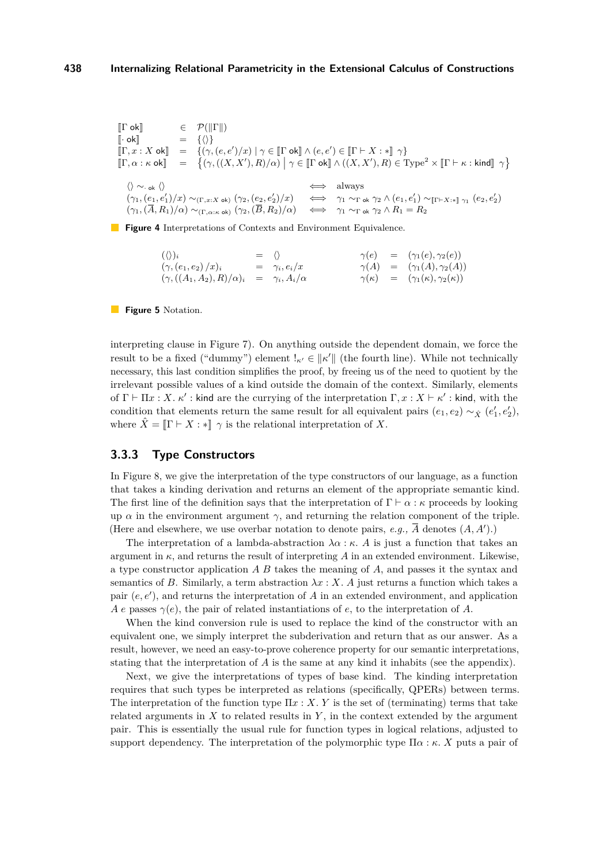<span id="page-6-0"></span> $\begin{array}{lll} \llbracket \Gamma \text{ ok} \rrbracket & \in & \mathcal{P}(\|\Gamma\|) \\ \llbracket \cdot \text{ ok} \rrbracket & = & \{\langle \rangle\} \end{array}$  $\begin{array}{cc} \lbrack \cdot \text{ ok} \rbrack \quad \text{or} \quad \text{K} \quad \text{S} \end{array}$  $[\Gamma, x : X \text{ ok}] = \{(\gamma, (e, e')/x) \mid \gamma \in [\Gamma \text{ ok}] \land (e, e') \in [\Gamma \vdash X : \ast] \gamma\}$  $[\![\Gamma,\alpha:\kappa \text{ ok}]\!] = \{(\gamma,((X,X'),R)/\alpha) \bigm| \gamma \in [\![\Gamma \text{ ok}]\!] \wedge ((X,X'),R) \in \text{Type}^2 \times [\![\Gamma \vdash \kappa:\text{kind}]\!] \; \gamma \}$  $\langle \rangle \sim_{\text{ok}} \langle \rangle$  always  $(γ<sub>1</sub>, (e<sub>1</sub>, e'<sub>1</sub>)/x) ∼<sub>(Γ,x:X ok)</sub> (γ<sub>2</sub>, (e<sub>2</sub>, e'<sub>2</sub>)$  $\gamma_2'$ / $x$ )  $\iff \gamma_1 \sim_{\Gamma} \circ k \gamma_2 \wedge (e_1, e'_1) \sim_{\llbracket \Gamma \vdash X : * \rrbracket \gamma_1} (e_2, e'_2)$  $(\gamma_1, (\overline{A}, R_1)/\alpha) \sim_{(\Gamma, \alpha: \kappa, \text{ok})} (\gamma_2, (\overline{B}, R_2)/\alpha) \iff \gamma_1 \sim_{\Gamma \text{ok}} \gamma_2 \wedge R_1 = R_2$ 

<span id="page-6-1"></span>**Figure 4** Interpretations of Contexts and Environment Equivalence.

$$
(\langle\rangle)_i = \langle\rangle \qquad \gamma(e) = (\gamma_1(e), \gamma_2(e))
$$
  
\n
$$
(\gamma, (e_1, e_2)/x)_i = \gamma_i, e_i/x \qquad \gamma(A) = (\gamma_1(A), \gamma_2(A))
$$
  
\n
$$
(\gamma, ((A_1, A_2), R)/\alpha)_i = \gamma_i, A_i/\alpha \qquad \gamma(\kappa) = (\gamma_1(\kappa), \gamma_2(\kappa))
$$

**Figure 5** Notation.

interpreting clause in Figure [7\)](#page-7-0). On anything outside the dependent domain, we force the result to be a fixed ("dummy") element  $I_{\kappa'} \in ||\kappa'||$  (the fourth line). While not technically necessary, this last condition simplifies the proof, by freeing us of the need to quotient by the irrelevant possible values of a kind outside the domain of the context. Similarly, elements of  $\Gamma \vdash \Pi x : X \cdot \kappa'$ : kind are the currying of the interpretation  $\Gamma, x : X \vdash \kappa'$ : kind, with the condition that elements return the same result for all equivalent pairs  $(e_1, e_2) \sim_{\hat{X}} (e'_1, e'_2)$ , where  $\hat{X} = \mathbb{I}\Gamma \vdash X : \mathbb{I}$   $\gamma$  is the relational interpretation of X.

## **3.3.3 Type Constructors**

In Figure [8,](#page-8-0) we give the interpretation of the type constructors of our language, as a function that takes a kinding derivation and returns an element of the appropriate semantic kind. The first line of the definition says that the interpretation of  $\Gamma \vdash \alpha : \kappa$  proceeds by looking up  $\alpha$  in the environment argument  $\gamma$ , and returning the relation component of the triple. (Here and elsewhere, we use overbar notation to denote pairs, *e.g.*,  $\overline{A}$  denotes  $(A, A')$ .)

The interpretation of a lambda-abstraction  $\lambda \alpha : \kappa$ . A is just a function that takes an argument in  $\kappa$ , and returns the result of interpreting  $A$  in an extended environment. Likewise, a type constructor application *A B* takes the meaning of *A*, and passes it the syntax and semantics of *B*. Similarly, a term abstraction  $\lambda x : X$ . A just returns a function which takes a pair  $(e, e')$ , and returns the interpretation of  $A$  in an extended environment, and application *A e* passes  $\gamma(e)$ , the pair of related instantiations of *e*, to the interpretation of *A*.

When the kind conversion rule is used to replace the kind of the constructor with an equivalent one, we simply interpret the subderivation and return that as our answer. As a result, however, we need an easy-to-prove coherence property for our semantic interpretations, stating that the interpretation of *A* is the same at any kind it inhabits (see the appendix).

Next, we give the interpretations of types of base kind. The kinding interpretation requires that such types be interpreted as relations (specifically, QPERs) between terms. The interpretation of the function type  $\Pi x : X, Y$  is the set of (terminating) terms that take related arguments in  $X$  to related results in  $Y$ , in the context extended by the argument pair. This is essentially the usual rule for function types in logical relations, adjusted to support dependency. The interpretation of the polymorphic type  $\Pi \alpha : \kappa$ . X puts a pair of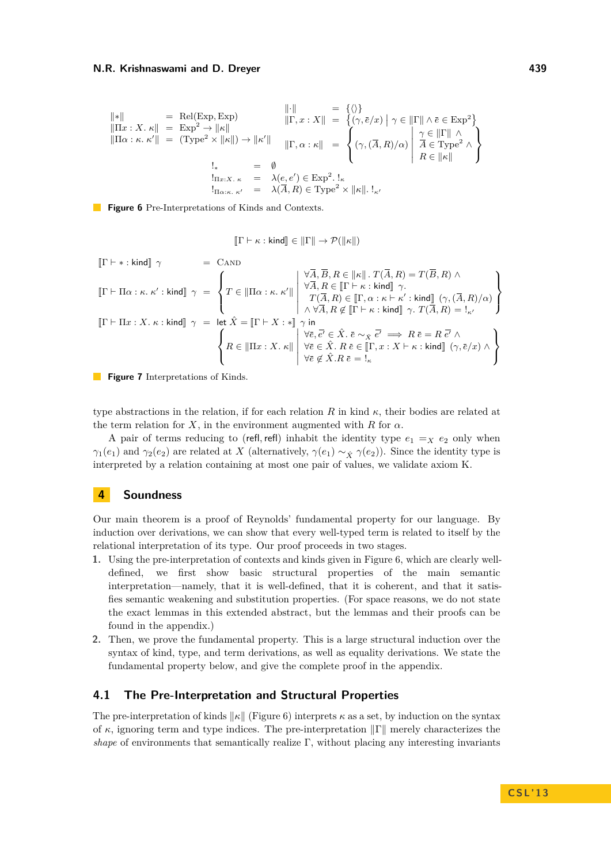<span id="page-7-1"></span>
$$
\|*\| = \text{Rel}(\text{Exp}, \text{Exp}) \qquad \|\cdot\| = \{ \langle \rangle \} \|\Pi x : X \cdot \kappa\| = \text{Exp}^2 \to \|\kappa\| \|\Pi \alpha : \kappa \cdot \kappa'\| = (\text{Type}^2 \times \|\kappa\|) \to \|\kappa'\| \| \cdot \mathbf{E}_{\mathbf{X}} \cdot \mathbf{X} \cdot \mathbf{X}\| = \left\{ (\gamma, \bar{e}/x) \mid \gamma \in \|\Gamma\| \land \bar{e} \in \text{Exp}^2 \} \|\Pi \alpha : \kappa \cdot \kappa'\| = (\text{Type}^2 \times \|\kappa\|) \to \|\kappa'\| \| \cdot \mathbf{E}_{\mathbf{X}} \cdot \kappa \cdot \mathbf{X}\| = \left\{ (\gamma, (\bar{A}, R)/\alpha) \mid \begin{array}{l} \gamma \in \|\Gamma\| \land \\ \lambda \in \text{Type}^2 \land \\ R \in \|\kappa\| \end{array} \right\}
$$
\n
$$
\lim_{\substack{z \to \kappa \\ z \in \mathbf{X} \times \kappa \\ z \in \mathbf{X} \times \kappa \cdot \kappa' = \lambda(\bar{A}, R) \in \text{Type}^2 \times \|\kappa\|. \; 1_{\kappa'}}
$$

<span id="page-7-0"></span>**Figure 6** Pre-Interpretations of Kinds and Contexts.

$$
[\![\Gamma \vdash \kappa : \mathsf{kind}]\!] \in [\![\Gamma]\!] \rightarrow \mathcal{P}(\|\kappa\|)
$$

$$
\begin{array}{rcl} \left[\!\!\left[ \Gamma \vdash * : \text{kind} \right]\!\!\right] \, \gamma & = & \mathrm{CAND} \\[1mm] \left[\!\!\left[ \Gamma \vdash \Pi \alpha : \kappa. \, \kappa' : \text{kind} \right]\!\!\right] \, \gamma & = & \left\{ T \in \left\|\!\!\left[ \Pi \alpha : \kappa. \, \kappa' \right]\!\!\right\} \right. \\[1mm] \left.\left.\!\!\!\left[\!\!\!\left[ \Gamma \vdash \Pi \alpha : \kappa. \, \kappa' : \text{kind} \right]\!\!\right] \, \gamma & = & \left\{ T \in \left\|\!\!\left[ \Pi \alpha : \kappa. \, \kappa' \right]\!\!\right\} \right. \\[1mm] \left.\!\!\!\left.\!\!\!\left[\!\!\!\left[ \nabla \overline{A}, R \right) \in \left\|\!\!\left[ \Gamma \vdash \kappa : \text{kind} \right]\!\!\right]\!\right. \gamma. \\[1mm] \left.\!\!\!\left.\!\!\!\left[\!\!\!\left[ \Gamma \vdash \Pi x : X. \, \kappa : \text{kind} \right]\!\!\right]\right. \gamma & = & \left.\!\!\!\!\left.\!\!\!\!\left[ \kappa \right. \hat{X} = \left\|\!\!\left[ \Gamma \vdash X : * \right]\!\!\right]\!\!\right. \right\} \\[1mm] \left.\!\!\!\!\left.\!\!\!\!\left.\!\!\!\!\left.\!\!\!\left[\!\!\!\left[ \nabla \overline{A}, R \right) \in \left\|\!\!\left[ \Gamma \vdash \kappa : \text{kind} \right]\!\!\right]\right. \right. \right. \gamma. \left.\!\!\!\!\left.\!\!\!\!\left.\!\!\!\!\left.\!\!\!\!\left.\!\!\!\!\left.\!\!\!\!\left.\!\!\!\!\left[ \Gamma \vdash \kappa : \text{kind} \right]\!\!\right]\right. \right. \right. \right) \\[1mm] \left.\!\!\!\!\!\left.\!\!\!\!\!\left.\!\!\!\!\!\left.\!\!\!\!\!\left.\!\!\!\!\left.\!\!\!\!\left.\!\!\!\!\left.\!\!\!\!\left[\Gamma \vdash X : * \right]\!\!\right]\right. \right. \right. \right. \right) \left. \!\!\!\!\!\left.\!\!\!\!\!\left.\!\!\!\!\!\left.\!\!\!\!\left.\!\!\!\!\left.\!\!\!\!\left.\!\!\!\!\left.\!\!\!\!\right.\right. \right. \right. \right. \right) \right
$$

**Figure 7** Interpretations of Kinds.

type abstractions in the relation, if for each relation *R* in kind  $\kappa$ , their bodies are related at the term relation for *X*, in the environment augmented with *R* for  $\alpha$ .

A pair of terms reducing to (refl, refl) inhabit the identity type  $e_1 = X e_2$  only when *γ*<sub>1</sub>(*e*<sub>1</sub>) and *γ*<sub>2</sub>(*e*<sub>2</sub>) are related at *X* (alternatively, *γ*(*e*<sub>1</sub>) ~ *χ γ*(*e*<sub>2</sub>)). Since the identity type is interpreted by a relation containing at most one pair of values, we validate axiom K.

# **4 Soundness**

Our main theorem is a proof of Reynolds' fundamental property for our language. By induction over derivations, we can show that every well-typed term is related to itself by the relational interpretation of its type. Our proof proceeds in two stages.

- **1.** Using the pre-interpretation of contexts and kinds given in Figure [6,](#page-7-1) which are clearly welldefined, we first show basic structural properties of the main semantic interpretation—namely, that it is well-defined, that it is coherent, and that it satisfies semantic weakening and substitution properties. (For space reasons, we do not state the exact lemmas in this extended abstract, but the lemmas and their proofs can be found in the appendix.)
- **2.** Then, we prove the fundamental property. This is a large structural induction over the syntax of kind, type, and term derivations, as well as equality derivations. We state the fundamental property below, and give the complete proof in the appendix.

# **4.1 The Pre-Interpretation and Structural Properties**

The pre-interpretation of kinds  $\|\kappa\|$  (Figure [6\)](#page-7-1) interprets  $\kappa$  as a set, by induction on the syntax of  $\kappa$ , ignoring term and type indices. The pre-interpretation  $\|\Gamma\|$  merely characterizes the *shape* of environments that semantically realize  $\Gamma$ , without placing any interesting invariants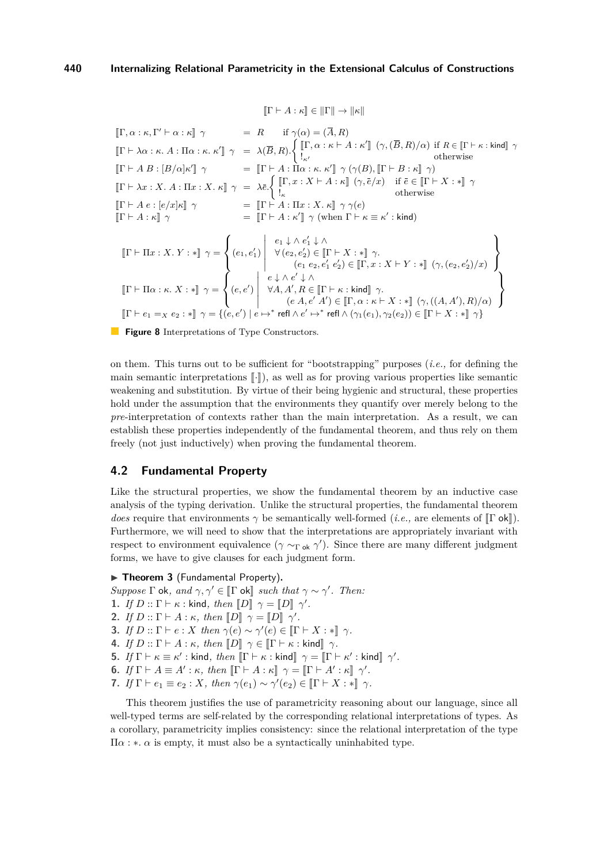$$
[\![ \Gamma \vdash A : \kappa ]\!] \in [\![ \Gamma ]\!] \rightarrow [\![ \kappa ]\!]
$$

<span id="page-8-0"></span> $\left[\Gamma, \alpha : \kappa, \Gamma' \vdash \alpha : \kappa \right]$   $\gamma$  = *R* if  $\gamma(\alpha) = (\overline{A}, R)$  $[\![\Gamma\vdash \lambda\alpha:\kappa. A:\Pi\alpha:\kappa.\ \kappa']\!] \ \ \gamma \ \ = \ \ \lambda(\overline{B},R).\left\{ \begin{array}{lcl} [\![\Gamma,\alpha:\kappa\vdash A:\kappa']\!] \ \ (\gamma,(\overline{B},R)/\alpha) \ \ \text{if} \ \ R\in [\![\Gamma\vdash \kappa:\textsf{kind}]\!] \ \ \gamma \ \ \text{otherwise} \end{array} \right.$  $[\![\Gamma \vdash A \ B : [B/\alpha] \kappa' ]\!]$   $\gamma$  =  $[\![\Gamma \vdash A : \Pi \alpha : \kappa \kappa' ]\!]$   $\gamma$   $(\gamma(B), [\![\Gamma \vdash B : \kappa ]\!]$   $\gamma$  $\llbracket \Gamma \vdash \lambda x : X. \ A : \Pi x : X. \ \kappa \rrbracket \ \ \gamma \ = \ \lambda \bar{e} \cdot \left\{ \begin{aligned} &\llbracket \Gamma, x : X \vdash A : \kappa \rrbracket \ \ (\gamma, \bar{e}/x) &\text{if } \bar{e} \in \llbracket \Gamma \vdash X : \ast \rrbracket \ \ \gamma \ \text{otherwise} \end{aligned} \right.$  $[\![\Gamma \vdash A \ e : [e/x] \kappa]\!] \ \ \gamma \qquad \qquad = \ \ [\![\Gamma \vdash A \ \vdots \ \Pi x \ \vdots \ X \ \ldots \ \rdash \ ] \ \ \gamma \ \gamma(e)$  $\llbracket \Gamma \vdash A : \kappa \rrbracket \gamma$  =  $\llbracket \Gamma \vdash A : \kappa' \rrbracket \gamma$  (when  $\Gamma \vdash \kappa \equiv \kappa' : \mathsf{kind}$ )  $\llbracket \Gamma \vdash \Pi x : X. Y : * \rrbracket \gamma =$  $\sqrt{ }$  $\left| \right|$  $\overline{\mathcal{L}}$  $(e_1, e'_1)$   $e_1$  ↓ ∧  $e'_1$  ↓ ∧  $\forall (e_2, e'_2) \in [\![ \Gamma \vdash X : \ast ] \!] \gamma.$ <br>  $(e_1 e_2, e'_1 e'_2) \in [\![ \Gamma, x : X \vdash Y : \ast ] \!] \gamma, (e_2, e'_2)/x)$  $\mathcal{L}$  $\mathcal{L}$  $\int_{S}$  $\llbracket \Gamma \vdash \Pi \alpha : \kappa. X : * \rrbracket \gamma =$  $\sqrt{ }$  $\frac{1}{2}$  $\mathcal{L}$  $(e,e')$  *e* ↓ ∧ *e* 0 ↓ ∧  $\forall A, A', R \in [\![\Gamma \vdash \kappa : \mathsf{kind}]\!]$   $\gamma$ .<br>  $(e A, e' A') \in [\![\Gamma, \alpha : \kappa \vdash X : *]\!]$   $(\gamma, ((A, A'), R)/\alpha)$  $\lambda$  $\mathcal{L}$  $\left| \right|$  $[\![\Gamma \vdash e_1 =_X e_2 : * \!] \gamma = \{ (e, e') \mid e \mapsto^* \text{ refl} \land e' \mapsto^* \text{ refl} \land (\gamma_1(e_1), \gamma_2(e_2)) \in [\![\Gamma \vdash X : * \!] \gamma \}$ 

**Figure 8** Interpretations of Type Constructors.

on them. This turns out to be sufficient for "bootstrapping" purposes (*i.e.,* for defining the main semantic interpretations  $\lceil \cdot \rceil$ ), as well as for proving various properties like semantic weakening and substitution. By virtue of their being hygienic and structural, these properties hold under the assumption that the environments they quantify over merely belong to the *pre*-interpretation of contexts rather than the main interpretation. As a result, we can establish these properties independently of the fundamental theorem, and thus rely on them freely (not just inductively) when proving the fundamental theorem.

# <span id="page-8-1"></span>**4.2 Fundamental Property**

Like the structural properties, we show the fundamental theorem by an inductive case analysis of the typing derivation. Unlike the structural properties, the fundamental theorem *does* require that environments  $\gamma$  be semantically well-formed (*i.e.*, are elements of  $\Gamma$  ok $\Gamma$ ). Furthermore, we will need to show that the interpretations are appropriately invariant with respect to environment equivalence ( $\gamma \sim_{\Gamma \text{ok}} \gamma'$ ). Since there are many different judgment forms, we have to give clauses for each judgment form.

## **Findamental Property**).

- *Suppose*  $\Gamma$  ok, and  $\gamma, \gamma' \in [\Gamma \text{ ok}]$  *such that*  $\gamma \sim \gamma'$ . Then:
- **1.** *If*  $D::\Gamma \vdash \kappa:\text{kind}, \text{ then } \llbracket D \rrbracket \gamma = \llbracket D \rrbracket \gamma'.$ <br> **2.** *If*  $D::\Gamma \vdash A::\mu$  *then*  $\llbracket D \rrbracket :: \Gamma \Box \llbracket A \rrbracket$
- **2.** *If*  $D::\Gamma \vdash A:\kappa$ *, then*  $[D]$   $\gamma = [D]$   $\gamma'$ .
- **3.** *If*  $D::\Gamma \vdash e:X$  *then*  $\gamma(e) \sim \gamma'(e) \in [\Gamma \vdash X : *]]$   $\gamma$ .
- **4.** *If*  $D :: \Gamma \vdash A : \kappa$ *, then*  $\llbracket D \rrbracket \ \ \gamma \in \llbracket \Gamma \vdash \kappa : \text{kind} \rrbracket \ \ \gamma$ *.*
- **5.** *If*  $\Gamma \vdash \kappa \equiv \kappa'$ : kind, then  $\llbracket \Gamma \vdash \kappa : \text{kind} \rrbracket$   $\gamma = \llbracket \Gamma \vdash \kappa' : \text{kind} \rrbracket$   $\gamma'$ .
- **6.** *If*  $\Gamma \vdash A \equiv A' : \kappa$ , then  $\left[\Gamma \vdash A : \kappa\right] \gamma = \left[\Gamma \vdash A' : \kappa\right] \gamma'$ .
- **7.** *If*  $\Gamma \vdash e_1 \equiv e_2 : X$ *, then*  $\gamma(e_1) \sim \gamma'(e_2) \in [\Gamma \vdash X : *] \gamma$ *.*

This theorem justifies the use of parametricity reasoning about our language, since all well-typed terms are self-related by the corresponding relational interpretations of types. As a corollary, parametricity implies consistency: since the relational interpretation of the type  $\Pi\alpha$ : \**.*  $\alpha$  is empty, it must also be a syntactically uninhabited type.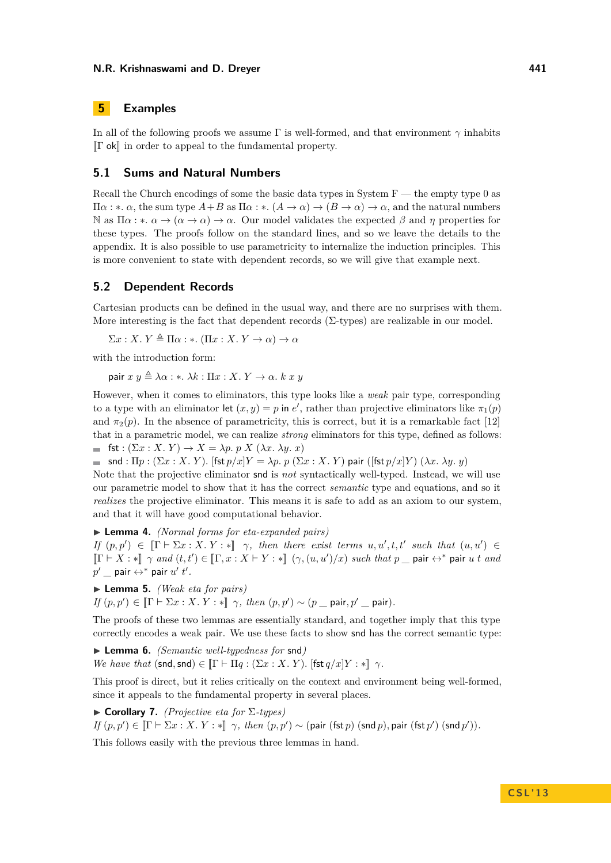# <span id="page-9-0"></span>**5 Examples**

In all of the following proofs we assume Γ is well-formed, and that environment *γ* inhabits  $\llbracket \Gamma$  ok $\rrbracket$  in order to appeal to the fundamental property.

# **5.1 Sums and Natural Numbers**

Recall the Church encodings of some the basic data types in System  $F$  — the empty type 0 as Π*α* : ∗*. α*, the sum type *A*+*B* as Π*α* : ∗*.* (*A* → *α*) → (*B* → *α*) → *α*, and the natural numbers N as  $\Pi \alpha : \alpha \to (\alpha \to \alpha) \to \alpha$ . Our model validates the expected  $\beta$  and  $\eta$  properties for these types. The proofs follow on the standard lines, and so we leave the details to the appendix. It is also possible to use parametricity to internalize the induction principles. This is more convenient to state with dependent records, so we will give that example next.

### **5.2 Dependent Records**

Cartesian products can be defined in the usual way, and there are no surprises with them. More interesting is the fact that dependent records  $(\Sigma$ -types) are realizable in our model.

 $\Sigma x : X, Y \triangleq \Pi \alpha : *$ . ( $\Pi x : X, Y \rightarrow \alpha$ )  $\rightarrow \alpha$ 

with the introduction form:

pair  $x y \triangleq \lambda \alpha : * \lambda k : \Pi x : X, Y \rightarrow \alpha, k x y$ 

However, when it comes to eliminators, this type looks like a *weak* pair type, corresponding to a type with an eliminator let  $(x, y) = p$  in  $e'$ , rather than projective eliminators like  $\pi_1(p)$ and  $\pi_2(p)$ . In the absence of parametricity, this is correct, but it is a remarkable fact [\[12\]](#page-15-7) that in a parametric model, we can realize *strong* eliminators for this type, defined as follows: fst :  $(\Sigma x : X, Y) \to X = \lambda p$ . p  $X (\lambda x, \lambda y, x)$ 

 $\blacksquare$  snd :  $\Pi p$  :  $(\Sigma x : X, Y)$ *.* [fst  $p/x|Y = \lambda p$ *. p*  $(\Sigma x : X, Y)$  pair ([fst  $p/x|Y$ )  $(\lambda x, \lambda y, y)$ 

Note that the projective eliminator snd is *not* syntactically well-typed. Instead, we will use our parametric model to show that it has the correct *semantic* type and equations, and so it *realizes* the projective eliminator. This means it is safe to add as an axiom to our system, and that it will have good computational behavior.

I **Lemma 4.** *(Normal forms for eta-expanded pairs)*

*If*  $(p, p') \in [\Gamma \vdash \Sigma x : X, Y : \mathbb{R}]$   $\gamma$ , then there exist terms  $u, u', t, t'$  such that  $(u, u') \in \mathbb{R}$ <br> $\mathbb{R} \vdash X : \mathbb{R}$  as  $\mathbb{R}^d \downarrow (u, u') \in \mathbb{R}$  as  $Y \vdash Y : \mathbb{R}$  ( $\alpha$  ( $\alpha$ ,  $\alpha$ ) ( $\alpha$ ) and that  $\alpha$  such that  $\alpha$   $[\![\Gamma \vdash X : *]\!] \gamma$  and  $(t, t') \in [\![\Gamma, x : X \vdash Y : *]\!]$   $(\gamma, (u, u')/x)$  such that  $p$   $\bot$  pair  $\leftrightarrow^*$  pair  $u$   $t$  and  $p' \perp$  pair  $\leftrightarrow^*$  pair  $u'$   $t'$  *.* 

▶ **Lemma 5.** *(Weak eta for pairs)* 

 $If (p, p') \in [\![ \Gamma \vdash \Sigma x : X, Y : * ]\!] \gamma, then (p, p') \sim (p \mod p \text{min}, p' \mod p).$ 

The proofs of these two lemmas are essentially standard, and together imply that this type correctly encodes a weak pair. We use these facts to show snd has the correct semantic type:

▶ **Lemma 6.** *(Semantic well-typedness for* snd*) We have that*  $(\text{snd}, \text{snd}) \in [\Gamma \vdash \Pi q : (\Sigma x : X, Y)$ *.*  $[\text{fst } q/x]Y : \text{In } \gamma$ *.* 

This proof is direct, but it relies critically on the context and environment being well-formed, since it appeals to the fundamental property in several places.

I **Corollary 7.** *(Projective eta for* Σ*-types)*  $If (p, p') \in [\![ \Gamma \vdash \Sigma x : X, Y : * ]\!] \; \gamma, \; then \; (p, p') \sim (\textsf{pair (fst } p) \; (\textsf{snd } p), \textsf{pair (fst } p') \; (\textsf{snd } p')).$ 

This follows easily with the previous three lemmas in hand.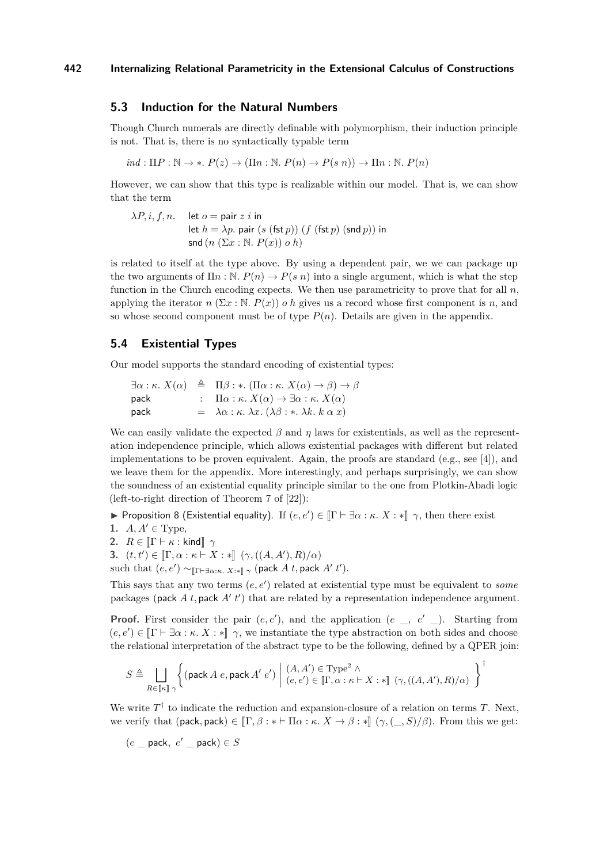## **5.3 Induction for the Natural Numbers**

Though Church numerals are directly definable with polymorphism, their induction principle is not. That is, there is no syntactically typable term

 $ind: \Pi P : \mathbb{N} \to *$ ,  $P(z) \to (\Pi n : \mathbb{N}, P(n) \to P(s \ n)) \to \Pi n : \mathbb{N}, P(n)$ 

However, we can show that this type is realizable within our model. That is, we can show that the term

$$
\lambda P, i, f, n.
$$
 let  $o = \text{pair } z i$  in  
let  $h = \lambda p$ . pair  $(s \text{ (fst } p)) (f \text{ (fst } p) \text{ (snd } p))$  in  
snd  $(n \text{ } (\Sigma x : \mathbb{N}, P(x)) o h)$ 

is related to itself at the type above. By using a dependent pair, we we can package up the two arguments of  $\Pi n : \mathbb{N}$ .  $P(n) \to P(s n)$  into a single argument, which is what the step function in the Church encoding expects. We then use parametricity to prove that for all *n*, applying the iterator  $n(\Sigma x : \mathbb{N}, P(x))$  *o h* gives us a record whose first component is *n*, and so whose second component must be of type  $P(n)$ . Details are given in the appendix.

## **5.4 Existential Types**

Our model supports the standard encoding of existential types:

|      | $\exists \alpha : \kappa$ . $X(\alpha) \triangleq \Pi \beta : \star$ . $(\Pi \alpha : \kappa$ . $X(\alpha) \rightarrow \beta) \rightarrow \beta$ |
|------|--------------------------------------------------------------------------------------------------------------------------------------------------|
| pack | : $\Pi \alpha : \kappa$ . $X(\alpha) \to \exists \alpha : \kappa$ . $X(\alpha)$                                                                  |
| pack | $= \lambda \alpha : \kappa. \lambda x. (\lambda \beta : * \lambda k. k \alpha x)$                                                                |

We can easily validate the expected  $\beta$  and  $\eta$  laws for existentials, as well as the representation independence principle, which allows existential packages with different but related implementations to be proven equivalent. Again, the proofs are standard (e.g., see [\[4\]](#page-14-3)), and we leave them for the appendix. More interestingly, and perhaps surprisingly, we can show the soundness of an existential equality principle similar to the one from Plotkin-Abadi logic (left-to-right direction of Theorem 7 of [\[22\]](#page-15-1)):

Proposition 8 (Existential equality). If  $(e, e') \in [\![\Gamma \vdash \exists \alpha : \kappa. \ X : *]\!]$   $\gamma$ , then there exist

1.  $A, A' \in \text{Type}$ ,

**2.**  $R \in \llbracket \Gamma \vdash \kappa : \text{kind} \rrbracket \gamma$ 

**3.**  $(t, t') \in [\Gamma, \alpha : \kappa \vdash X : *]] (\gamma, ((A, A'), R)/\alpha)$ 

such that  $(e, e') \sim_{\llbracket \Gamma \vdash \exists \alpha: \kappa. \ X:\ast \rrbracket} \gamma$  (pack *A t*, pack *A' t'*).

This says that any two terms  $(e, e')$  related at existential type must be equivalent to *some* packages (pack  $A$   $t$ , pack  $A'$   $t'$ ) that are related by a representation independence argument.

**Proof.** First consider the pair  $(e, e')$ , and the application  $(e_-, e'_-)$ . Starting from  $(e, e') \in [\Gamma \vdash \exists \alpha : \kappa, X : \ast] \gamma$ , we instantiate the type abstraction on both sides and choose the relational interpretation of the abstract type to be the following, defined by a QPER join:

$$
S \triangleq \bigsqcup_{R \in [\![\kappa]\!]}\bigg\{ \big(\text{pack }A \ e\text{, pack }A'\ e'\big) \ \bigg| \ \begin{array}{l} (A,A') \in \mathrm{Type}^2 \ \wedge \\ (e,e') \in [\![\Gamma,\alpha:\kappa \vdash X:\ast]\!] \ (\gamma,((A,A'),R)/\alpha) \end{array} \bigg\}^\dagger
$$

We write  $T^{\dagger}$  to indicate the reduction and expansion-closure of a relation on terms  $T$ . Next, we verify that (pack, pack)  $\in$   $\left[\Gamma, \beta : * \vdash \Pi \alpha : \kappa \colon X \to \beta : * \right]$   $(\gamma, \langle \_, S \rangle / \beta)$ . From this we get:

$$
(e \_\mathsf{pack},\ e' \_\mathsf{pack}) \in S
$$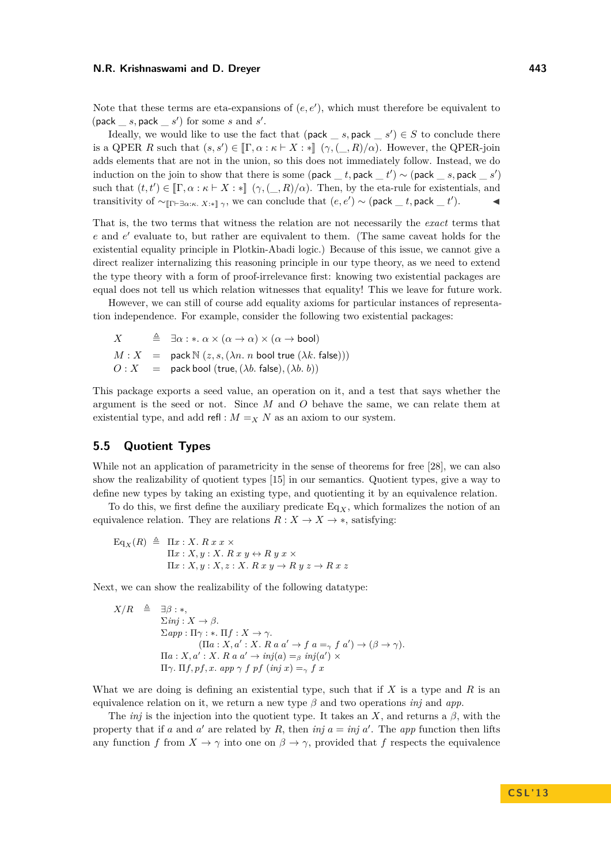Note that these terms are eta-expansions of  $(e, e')$ , which must therefore be equivalent to  $(\textsf{pack}\_\_\_s,\textsf{pack}\_\_\_s')$  for some *s* and *s'*.

Ideally, we would like to use the fact that  $(\text{pack}\_s, \text{pack}\_s') \in S$  to conclude there is a QPER *R* such that  $(s, s') \in [\Gamma, \alpha : \kappa \vdash X : *]$   $(\gamma, (\_, R)/\alpha)$ . However, the QPER-join adds elements that are not in the union, so this does not immediately follow. Instead, we do induction on the join to show that there is some (pack  $_t$ , pack  $_t'$ ) ~ (pack  $_s$ , pack  $_s'$ ) such that  $(t, t') \in [\Gamma, \alpha : \kappa \vdash X : \mathbb{R}]$   $(\gamma, (\_, R)/\alpha)$ . Then, by the eta-rule for existentials, and transitivity of  $\sim_{\llbracket \Gamma \vdash \exists \alpha:\kappa. \ X:\ast \rrbracket}$ , we can conclude that  $(e,e') \sim (\textsf{pack}\_\_t, \textsf{pack}\_\_t')$ .

That is, the two terms that witness the relation are not necessarily the *exact* terms that e and  $e'$  evaluate to, but rather are equivalent to them. (The same caveat holds for the existential equality principle in Plotkin-Abadi logic.) Because of this issue, we cannot give a direct realizer internalizing this reasoning principle in our type theory, as we need to extend the type theory with a form of proof-irrelevance first: knowing two existential packages are equal does not tell us which relation witnesses that equality! This we leave for future work.

However, we can still of course add equality axioms for particular instances of representation independence. For example, consider the following two existential packages:

*X*  $\triangleq \exists \alpha : * \alpha \times (\alpha \rightarrow \alpha) \times (\alpha \rightarrow \text{bool})$  $M: X = \text{pack } \mathbb{N} (z, s, (\lambda n, n \text{ bool true } (\lambda k, \text{ false})))$  $O: X =$  pack bool (true,  $(\lambda b.$  false),  $(\lambda b. b)$ )

This package exports a seed value, an operation on it, and a test that says whether the argument is the seed or not. Since *M* and *O* behave the same, we can relate them at existential type, and add refl :  $M = X N$  as an axiom to our system.

# **5.5 Quotient Types**

While not an application of parametricity in the sense of theorems for free [\[28\]](#page-15-8), we can also show the realizability of quotient types [\[15\]](#page-15-9) in our semantics. Quotient types, give a way to define new types by taking an existing type, and quotienting it by an equivalence relation.

To do this, we first define the auxiliary predicate  $Eq_X$ , which formalizes the notion of an equivalence relation. They are relations  $R: X \to X \to *$ , satisfying:

$$
\begin{array}{rcl}\n\mathbf{Eq}_X(R) & \triangleq & \Pi x : X. \ R \ x \ x \times \\
& \Pi x : X, y : X. \ R \ x \ y \leftrightarrow R \ y \ x \times \\
& \Pi x : X, y : X, z : X. \ R \ x \ y \rightarrow R \ y \ z \rightarrow R \ x \ z\n\end{array}
$$

Next, we can show the realizability of the following datatype:

$$
X/R \triangleq \exists \beta : *,
$$
  
\n
$$
\Sigma n j : X \to \beta.
$$
  
\n
$$
\Sigma app : \Pi \gamma : * \Pi f : X \to \gamma.
$$
  
\n
$$
(\Pi a : X, a' : X. R a a' \to f a =_\gamma f a') \to (\beta \to \gamma).
$$
  
\n
$$
\Pi a : X, a' : X. R a a' \to inj(a) =_\beta inj(a') \times
$$
  
\n
$$
\Pi \gamma. \Pi f, pf, x. app \gamma f pf (inj x) =_\gamma fx
$$

What we are doing is defining an existential type, such that if *X* is a type and *R* is an equivalence relation on it, we return a new type  $\beta$  and two operations *inj* and *app*.

The *inj* is the injection into the quotient type. It takes an *X*, and returns a  $\beta$ , with the property that if *a* and *a'* are related by *R*, then *inj*  $a = inj a'$ . The *app* function then lifts any function *f* from  $X \to \gamma$  into one on  $\beta \to \gamma$ , provided that *f* respects the equivalence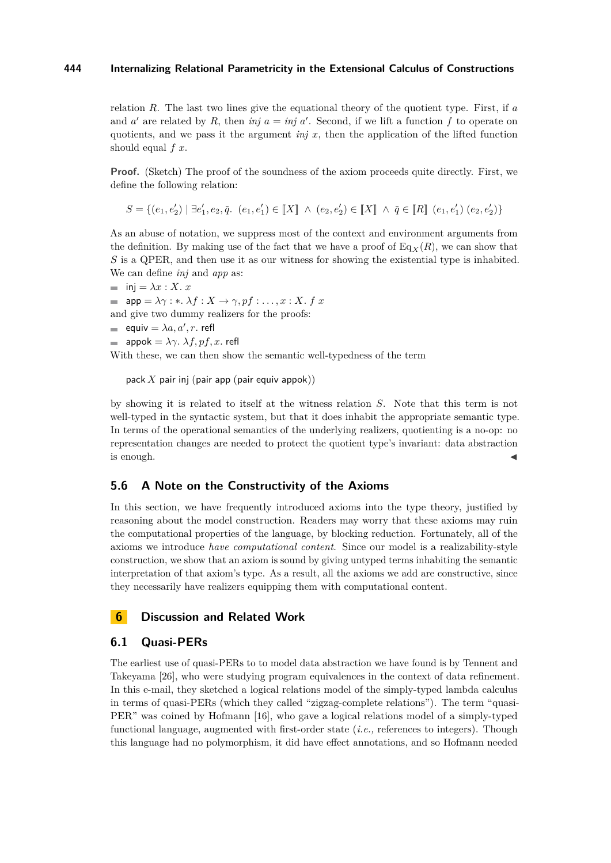relation *R*. The last two lines give the equational theory of the quotient type. First, if *a* and  $a'$  are related by R, then  $\overline{inj}$   $a = \overline{inj}$   $a'$ . Second, if we lift a function f to operate on quotients, and we pass it the argument *inj*  $x$ , then the application of the lifted function should equal *f x*.

**Proof.** (Sketch) The proof of the soundness of the axiom proceeds quite directly. First, we define the following relation:

 $S = \{(e_1, e'_2) | \exists e'_1, e_2, \bar{q}. (e_1, e'_1) \in \llbracket X \rrbracket \land (e_2, e'_2) \in \llbracket X \rrbracket \land \bar{q} \in \llbracket R \rrbracket (e_1, e'_1) (e_2, e'_2)\}\$ 

As an abuse of notation, we suppress most of the context and environment arguments from the definition. By making use of the fact that we have a proof of  $Eq_X(R)$ , we can show that *S* is a QPER, and then use it as our witness for showing the existential type is inhabited. We can define *inj* and *app* as:

 $\blacksquare$  inj =  $\lambda x : X \cdot x$  $\Rightarrow$  app =  $\lambda \gamma : * \lambda f : X \rightarrow \gamma, pf : \dots, x : X \text{ if } x$ and give two dummy realizers for the proofs:  $\text{equiv} \ \lambda a, a', r. \text{ refl}$  $\blacksquare$  appok =  $\lambda \gamma$ .  $\lambda f$ ,  $pf$ , x. refl With these, we can then show the semantic well-typedness of the term

pack *X* pair inj (pair app (pair equiv appok))

by showing it is related to itself at the witness relation *S*. Note that this term is not well-typed in the syntactic system, but that it does inhabit the appropriate semantic type. In terms of the operational semantics of the underlying realizers, quotienting is a no-op: no representation changes are needed to protect the quotient type's invariant: data abstraction  $\blacksquare$  is enough.

## **5.6 A Note on the Constructivity of the Axioms**

In this section, we have frequently introduced axioms into the type theory, justified by reasoning about the model construction. Readers may worry that these axioms may ruin the computational properties of the language, by blocking reduction. Fortunately, all of the axioms we introduce *have computational content*. Since our model is a realizability-style construction, we show that an axiom is sound by giving untyped terms inhabiting the semantic interpretation of that axiom's type. As a result, all the axioms we add are constructive, since they necessarily have realizers equipping them with computational content.

# **6 Discussion and Related Work**

## **6.1 Quasi-PERs**

The earliest use of quasi-PERs to to model data abstraction we have found is by Tennent and Takeyama [\[26\]](#page-15-10), who were studying program equivalences in the context of data refinement. In this e-mail, they sketched a logical relations model of the simply-typed lambda calculus in terms of quasi-PERs (which they called "zigzag-complete relations"). The term "quasi-PER" was coined by Hofmann [\[16\]](#page-15-11), who gave a logical relations model of a simply-typed functional language, augmented with first-order state (*i.e.,* references to integers). Though this language had no polymorphism, it did have effect annotations, and so Hofmann needed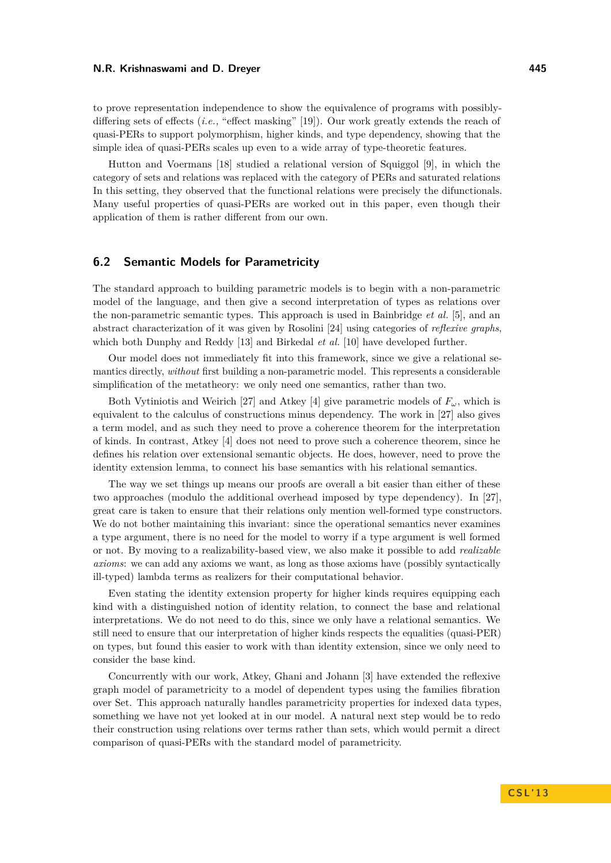to prove representation independence to show the equivalence of programs with possiblydiffering sets of effects (*i.e.,* "effect masking" [\[19\]](#page-15-12)). Our work greatly extends the reach of quasi-PERs to support polymorphism, higher kinds, and type dependency, showing that the simple idea of quasi-PERs scales up even to a wide array of type-theoretic features.

Hutton and Voermans [\[18\]](#page-15-13) studied a relational version of Squiggol [\[9\]](#page-14-4), in which the category of sets and relations was replaced with the category of PERs and saturated relations In this setting, they observed that the functional relations were precisely the difunctionals. Many useful properties of quasi-PERs are worked out in this paper, even though their application of them is rather different from our own.

# **6.2 Semantic Models for Parametricity**

The standard approach to building parametric models is to begin with a non-parametric model of the language, and then give a second interpretation of types as relations over the non-parametric semantic types. This approach is used in Bainbridge *et al.* [\[5\]](#page-14-5), and an abstract characterization of it was given by Rosolini [\[24\]](#page-15-14) using categories of *reflexive graphs*, which both Dunphy and Reddy [\[13\]](#page-15-15) and Birkedal *et al.* [\[10\]](#page-15-16) have developed further.

Our model does not immediately fit into this framework, since we give a relational semantics directly, *without* first building a non-parametric model. This represents a considerable simplification of the metatheory: we only need one semantics, rather than two.

Both Vytiniotis and Weirich [\[27\]](#page-15-17) and Atkey [\[4\]](#page-14-3) give parametric models of  $F_\omega$ , which is equivalent to the calculus of constructions minus dependency. The work in [\[27\]](#page-15-17) also gives a term model, and as such they need to prove a coherence theorem for the interpretation of kinds. In contrast, Atkey [\[4\]](#page-14-3) does not need to prove such a coherence theorem, since he defines his relation over extensional semantic objects. He does, however, need to prove the identity extension lemma, to connect his base semantics with his relational semantics.

The way we set things up means our proofs are overall a bit easier than either of these two approaches (modulo the additional overhead imposed by type dependency). In [\[27\]](#page-15-17), great care is taken to ensure that their relations only mention well-formed type constructors. We do not bother maintaining this invariant: since the operational semantics never examines a type argument, there is no need for the model to worry if a type argument is well formed or not. By moving to a realizability-based view, we also make it possible to add *realizable axioms*: we can add any axioms we want, as long as those axioms have (possibly syntactically ill-typed) lambda terms as realizers for their computational behavior.

Even stating the identity extension property for higher kinds requires equipping each kind with a distinguished notion of identity relation, to connect the base and relational interpretations. We do not need to do this, since we only have a relational semantics. We still need to ensure that our interpretation of higher kinds respects the equalities (quasi-PER) on types, but found this easier to work with than identity extension, since we only need to consider the base kind.

Concurrently with our work, Atkey, Ghani and Johann [\[3\]](#page-14-6) have extended the reflexive graph model of parametricity to a model of dependent types using the families fibration over Set. This approach naturally handles parametricity properties for indexed data types, something we have not yet looked at in our model. A natural next step would be to redo their construction using relations over terms rather than sets, which would permit a direct comparison of quasi-PERs with the standard model of parametricity.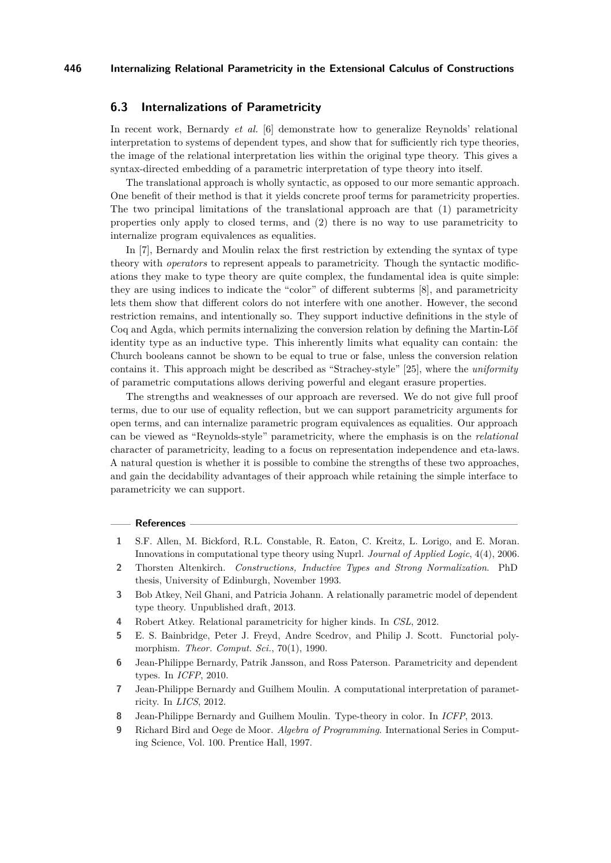## **6.3 Internalizations of Parametricity**

In recent work, Bernardy *et al.* [\[6\]](#page-14-2) demonstrate how to generalize Reynolds' relational interpretation to systems of dependent types, and show that for sufficiently rich type theories, the image of the relational interpretation lies within the original type theory. This gives a syntax-directed embedding of a parametric interpretation of type theory into itself.

The translational approach is wholly syntactic, as opposed to our more semantic approach. One benefit of their method is that it yields concrete proof terms for parametricity properties. The two principal limitations of the translational approach are that (1) parametricity properties only apply to closed terms, and (2) there is no way to use parametricity to internalize program equivalences as equalities.

In [\[7\]](#page-14-7), Bernardy and Moulin relax the first restriction by extending the syntax of type theory with *operators* to represent appeals to parametricity. Though the syntactic modifications they make to type theory are quite complex, the fundamental idea is quite simple: they are using indices to indicate the "color" of different subterms [\[8\]](#page-14-8), and parametricity lets them show that different colors do not interfere with one another. However, the second restriction remains, and intentionally so. They support inductive definitions in the style of Coq and Agda, which permits internalizing the conversion relation by defining the Martin-Löf identity type as an inductive type. This inherently limits what equality can contain: the Church booleans cannot be shown to be equal to true or false, unless the conversion relation contains it. This approach might be described as "Strachey-style" [\[25\]](#page-15-18), where the *uniformity* of parametric computations allows deriving powerful and elegant erasure properties.

The strengths and weaknesses of our approach are reversed. We do not give full proof terms, due to our use of equality reflection, but we can support parametricity arguments for open terms, and can internalize parametric program equivalences as equalities. Our approach can be viewed as "Reynolds-style" parametricity, where the emphasis is on the *relational* character of parametricity, leading to a focus on representation independence and eta-laws. A natural question is whether it is possible to combine the strengths of these two approaches, and gain the decidability advantages of their approach while retaining the simple interface to parametricity we can support.

## **References**

- <span id="page-14-1"></span>**1** S.F. Allen, M. Bickford, R.L. Constable, R. Eaton, C. Kreitz, L. Lorigo, and E. Moran. Innovations in computational type theory using Nuprl. *Journal of Applied Logic*, 4(4), 2006.
- <span id="page-14-0"></span>**2** Thorsten Altenkirch. *Constructions, Inductive Types and Strong Normalization*. PhD thesis, University of Edinburgh, November 1993.
- <span id="page-14-6"></span>**3** Bob Atkey, Neil Ghani, and Patricia Johann. A relationally parametric model of dependent type theory. Unpublished draft, 2013.
- <span id="page-14-3"></span>**4** Robert Atkey. Relational parametricity for higher kinds. In *CSL*, 2012.
- <span id="page-14-5"></span>**5** E. S. Bainbridge, Peter J. Freyd, Andre Scedrov, and Philip J. Scott. Functorial polymorphism. *Theor. Comput. Sci.*, 70(1), 1990.
- <span id="page-14-2"></span>**6** Jean-Philippe Bernardy, Patrik Jansson, and Ross Paterson. Parametricity and dependent types. In *ICFP*, 2010.
- <span id="page-14-7"></span>**7** Jean-Philippe Bernardy and Guilhem Moulin. A computational interpretation of parametricity. In *LICS*, 2012.
- <span id="page-14-8"></span>**8** Jean-Philippe Bernardy and Guilhem Moulin. Type-theory in color. In *ICFP*, 2013.
- <span id="page-14-4"></span>**9** Richard Bird and Oege de Moor. *Algebra of Programming*. International Series in Computing Science, Vol. 100. Prentice Hall, 1997.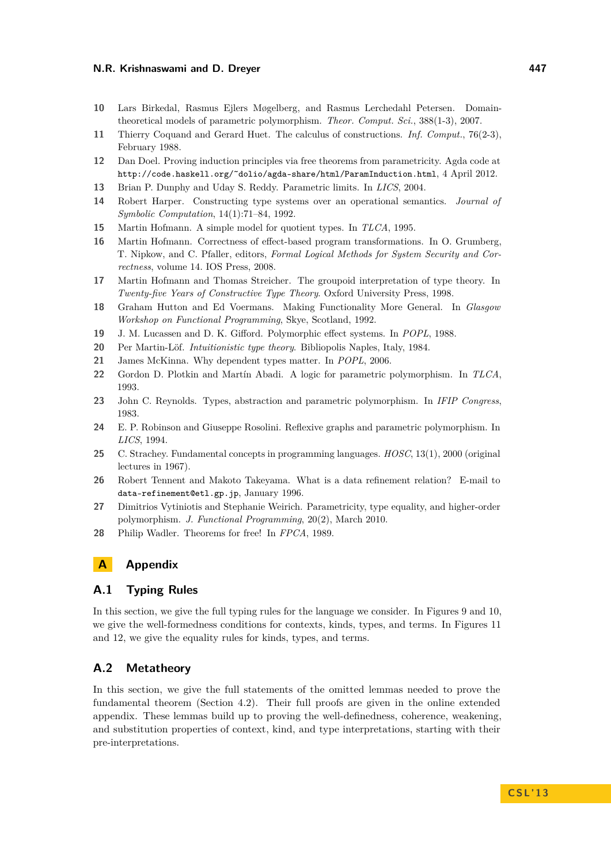- <span id="page-15-16"></span>**10** Lars Birkedal, Rasmus Ejlers Møgelberg, and Rasmus Lerchedahl Petersen. Domaintheoretical models of parametric polymorphism. *Theor. Comput. Sci.*, 388(1-3), 2007.
- <span id="page-15-4"></span>**11** Thierry Coquand and Gerard Huet. The calculus of constructions. *Inf. Comput.*, 76(2-3), February 1988.
- <span id="page-15-7"></span>**12** Dan Doel. Proving induction principles via free theorems from parametricity. Agda code at http://code.haskell.org/~dolio/agda-share/html/ParamInduction.html, 4 April 2012.
- <span id="page-15-15"></span>**13** Brian P. Dunphy and Uday S. Reddy. Parametric limits. In *LICS*, 2004.
- <span id="page-15-5"></span>**14** Robert Harper. Constructing type systems over an operational semantics. *Journal of Symbolic Computation*, 14(1):71–84, 1992.
- <span id="page-15-9"></span>**15** Martin Hofmann. A simple model for quotient types. In *TLCA*, 1995.
- <span id="page-15-11"></span>**16** Martin Hofmann. Correctness of effect-based program transformations. In O. Grumberg, T. Nipkow, and C. Pfaller, editors, *Formal Logical Methods for System Security and Correctness*, volume 14. IOS Press, 2008.
- <span id="page-15-6"></span>**17** Martin Hofmann and Thomas Streicher. The groupoid interpretation of type theory. In *Twenty-five Years of Constructive Type Theory*. Oxford University Press, 1998.
- <span id="page-15-13"></span>**18** Graham Hutton and Ed Voermans. Making Functionality More General. In *Glasgow Workshop on Functional Programming*, Skye, Scotland, 1992.
- <span id="page-15-12"></span>**19** J. M. Lucassen and D. K. Gifford. Polymorphic effect systems. In *POPL*, 1988.
- <span id="page-15-3"></span>**20** Per Martin-Löf. *Intuitionistic type theory*. Bibliopolis Naples, Italy, 1984.
- <span id="page-15-2"></span>**21** James McKinna. Why dependent types matter. In *POPL*, 2006.
- <span id="page-15-1"></span>**22** Gordon D. Plotkin and Martín Abadi. A logic for parametric polymorphism. In *TLCA*, 1993.
- <span id="page-15-0"></span>**23** John C. Reynolds. Types, abstraction and parametric polymorphism. In *IFIP Congress*, 1983.
- <span id="page-15-14"></span>**24** E. P. Robinson and Giuseppe Rosolini. Reflexive graphs and parametric polymorphism. In *LICS*, 1994.
- <span id="page-15-18"></span>**25** C. Strachey. Fundamental concepts in programming languages. *HOSC*, 13(1), 2000 (original lectures in 1967).
- <span id="page-15-10"></span>**26** Robert Tennent and Makoto Takeyama. What is a data refinement relation? E-mail to data-refinement@etl.gp.jp, January 1996.
- <span id="page-15-17"></span>**27** Dimitrios Vytiniotis and Stephanie Weirich. Parametricity, type equality, and higher-order polymorphism. *J. Functional Programming*, 20(2), March 2010.
- <span id="page-15-8"></span>**28** Philip Wadler. Theorems for free! In *FPCA*, 1989.

# **A Appendix**

## **A.1 Typing Rules**

In this section, we give the full typing rules for the language we consider. In Figures [9](#page-17-0) and [10,](#page-17-1) we give the well-formedness conditions for contexts, kinds, types, and terms. In Figures [11](#page-18-0) and [12,](#page-19-1) we give the equality rules for kinds, types, and terms.

# **A.2 Metatheory**

In this section, we give the full statements of the omitted lemmas needed to prove the fundamental theorem (Section [4.2\)](#page-8-1). Their full proofs are given in the online extended appendix. These lemmas build up to proving the well-definedness, coherence, weakening, and substitution properties of context, kind, and type interpretations, starting with their pre-interpretations.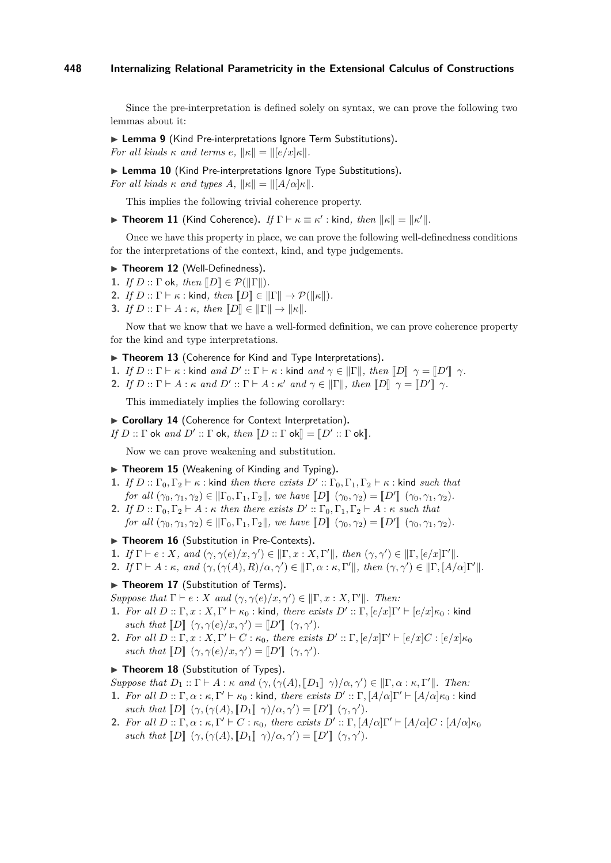Since the pre-interpretation is defined solely on syntax, we can prove the following two lemmas about it:

▶ Lemma 9 (Kind Pre-interpretations Ignore Term Substitutions). *For all kinds*  $\kappa$  *and terms e.*  $\|\kappa\| = \|[e/x]\kappa\|$ *.* 

▶ Lemma 10 (Kind Pre-interpretations Ignore Type Substitutions). *For all kinds*  $\kappa$  *and types*  $A$ ,  $\|\kappa\| = \|A/\alpha\|\kappa\|$ .

This implies the following trivial coherence property.

**Fineorem 11** (Kind Coherence). *If*  $\Gamma \vdash \kappa \equiv \kappa'$ : kind, then  $\|\kappa\| = \|\kappa'\|$ .

Once we have this property in place, we can prove the following well-definedness conditions for the interpretations of the context, kind, and type judgements.

- ▶ Theorem 12 (Well-Definedness).
- **1.** *If*  $D$  ::  $\Gamma$  ok, *then*  $\llbracket D \rrbracket \in \mathcal{P}(\llbracket \Gamma \rrbracket)$ *.*
- **2.** *If*  $D :: \Gamma \vdash \kappa :$  kind, then  $[D] \in ||\Gamma|| \rightarrow \mathcal{P}(||\kappa||)$ .
- **3.** *If*  $D :: \Gamma \vdash A : \kappa$ *, then*  $\llbracket D \rrbracket \in \llbracket \Gamma \rrbracket \rightarrow \llbracket \kappa \rrbracket$ *.*

Now that we know that we have a well-formed definition, we can prove coherence property for the kind and type interpretations.

- ▶ Theorem 13 (Coherence for Kind and Type Interpretations).
- **1.** *If*  $D::\Gamma \vdash \kappa$  : kind *and*  $D':\Gamma \vdash \kappa$  : kind *and*  $\gamma \in ||\Gamma||$ *, then*  $[[D]] \gamma = [[D']] \gamma$ .
- **2.** *If*  $D::\Gamma \vdash A::\kappa$  *and*  $D'::\Gamma \vdash A::\kappa'$  *and*  $\gamma \in ||\Gamma||$ *, then*  $[[D]] \gamma = [[D']] \gamma$ *.*

This immediately implies the following corollary:

- ▶ Corollary 14 (Coherence for Context Interpretation).
- *If*  $D :: \Gamma$  ok *and*  $D' :: \Gamma$  ok, *then*  $[[D :: \Gamma \text{ ok}]] = [[D' :: \Gamma \text{ ok}]]$ .

Now we can prove weakening and substitution.

- ▶ Theorem 15 (Weakening of Kinding and Typing).
- **1.** *If*  $D$  ::  $\Gamma_0, \Gamma_2 \vdash \kappa$  : kind *then there exists*  $D'$  ::  $\Gamma_0, \Gamma_1, \Gamma_2 \vdash \kappa$  : kind *such that for all*  $(\gamma_0, \gamma_1, \gamma_2) \in ||\Gamma_0, \Gamma_1, \Gamma_2||$ , we have  $[[D]] (\gamma_0, \gamma_2) = [[D']](\gamma_0, \gamma_1, \gamma_2)$ .
- **2.** *If*  $D$  ::  $\Gamma_0, \Gamma_2 \vdash A : \kappa$  *then there exists*  $D'$  ::  $\Gamma_0, \Gamma_1, \Gamma_2 \vdash A : \kappa$  *such that for all*  $(\gamma_0, \gamma_1, \gamma_2) \in ||\Gamma_0, \Gamma_1, \Gamma_2||$ *, we have*  $[[D]] (\gamma_0, \gamma_2) = [[D']](\gamma_0, \gamma_1, \gamma_2)$ *.*

#### ▶ Theorem 16 (Substitution in Pre-Contexts).

- **1.** *If*  $\Gamma \vdash e : X$ *, and*  $(\gamma, \gamma(e)/x, \gamma') \in ||\Gamma, x : X, \Gamma'||$ *, then*  $(\gamma, \gamma') \in ||\Gamma, [e/x]\Gamma'||$ *.*
- **2.** *If*  $\Gamma \vdash A : \kappa$ *, and*  $(\gamma, (\gamma(A), R)/\alpha, \gamma') \in ||\Gamma, \alpha : \kappa, \Gamma'||$ *, then*  $(\gamma, \gamma') \in ||\Gamma, [A/\alpha]\Gamma'||$ *.*

#### ▶ Theorem 17 (Substitution of Terms).

*Suppose that*  $\Gamma \vdash e : X$  *and*  $(\gamma, \gamma(e)/x, \gamma') \in ||\Gamma, x : X, \Gamma'||$ *. Then:* 

- **1.** *For all*  $D :: \Gamma, x : X, \Gamma' \vdash \kappa_0 :$  kind, there exists  $D' :: \Gamma, [e/x]\Gamma' \vdash [e/x]\kappa_0 :$  kind *such that*  $\llbracket D \rrbracket$   $(\gamma, \gamma(e)/x, \gamma') = \llbracket D' \rrbracket$   $(\gamma, \gamma').$ <br>*For all D u E x v F*/  $\llbracket C \rrbracket$  *(a) i* then exist
- **2.** *For all*  $D :: \Gamma, x : X, \Gamma' \vdash C : \kappa_0$ , there exists  $D' :: \Gamma, [e/x]\Gamma' \vdash [e/x]C : [e/x]\kappa_0$ *such that*  $\llbracket D \rrbracket$   $(\gamma, \gamma(e)/x, \gamma') = \llbracket D' \rrbracket$   $(\gamma, \gamma').$

## ▶ Theorem 18 (Substitution of Types).

*Suppose that*  $D_1$  ::  $\Gamma \vdash A : \kappa$  *and*  $(\gamma, (\gamma(A), [D_1], \gamma)/\alpha, \gamma') \in ||\Gamma, \alpha : \kappa, \Gamma'||$ . Then:

- **1.** *For all*  $D :: \Gamma, \alpha : \kappa, \Gamma' \vdash \kappa_0 :$  kind, *there exists*  $D' :: \Gamma, [A/\alpha]\Gamma' \vdash [A/\alpha]\kappa_0 :$  kind *such that*  $[\![D]\!] (\gamma, (\gamma(A), [\![D_1]\!]\!]\gamma)/\alpha, \gamma') = [\![D']\!] (\gamma, \gamma').$
- **2.** *For all*  $D: \Gamma, \alpha: \kappa, \Gamma' \vdash C: \kappa_0$ , there exists  $D': \Gamma, [A/\alpha]\Gamma' \vdash [A/\alpha]C: [A/\alpha]\kappa_0$ *such that*  $\llbracket D \rrbracket$   $(\gamma, (\gamma(A), \llbracket D_1 \rrbracket \ \gamma)/\alpha, \gamma') = \llbracket D' \rrbracket$   $(\gamma, \gamma').$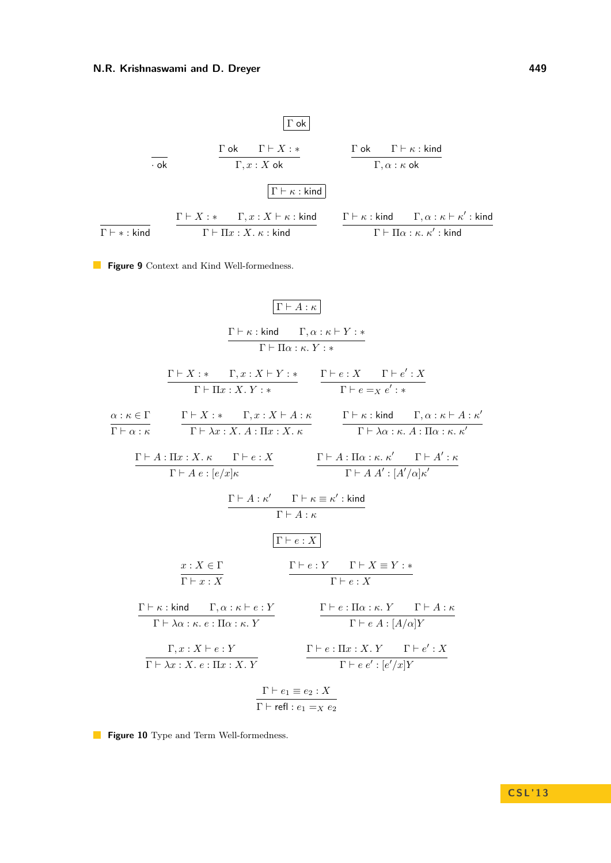<span id="page-17-0"></span>

| $\Gamma$ ok | $\Gamma$ | $\Gamma$ |          |          |          |          |          |          |          |          |          |          |          |          |          |          |          |          |          |          |     |
|-------------|----------|----------|----------|----------|----------|----------|----------|----------|----------|----------|----------|----------|----------|----------|----------|----------|----------|----------|----------|----------|-----|
| ok          | $\Gamma$ | $\Gamma$ | $\Gamma$ | $\Gamma$ |          |          |          |          |          |          |          |          |          |          |          |          |          |          |          |          |     |
| 0k          | $\Gamma$ | $\Gamma$ | $\Gamma$ | $\Gamma$ |          |          |          |          |          |          |          |          |          |          |          |          |          |          |          |          |     |
| 0k          | $\Gamma$ | $\Gamma$ | $\Gamma$ | $\Gamma$ |          |          |          |          |          |          |          |          |          |          |          |          |          |          |          |          |     |
| 0k          | $\Gamma$ | $\Gamma$ | $\Gamma$ | $\Gamma$ |          |          |          |          |          |          |          |          |          |          |          |          |          |          |          |          |     |
| 0k          | $\Gamma$ | $\Gamma$ | $\Gamma$ | $\Gamma$ |          |          |          |          |          |          |          |          |          |          |          |          |          |          |          |          |     |
| 0k          | $\Gamma$ | $\Gamma$ | $\Gamma$ | $\Gamma$ |          |          |          |          |          |          |          |          |          |          |          |          |          |          |          |          |     |
| 0k          | $\Gamma$ | $\Gamma$ | $\Gamma$ | $\Gamma$ |          |          |          |          |          |          |          |          |          |          |          |          |          |          |          |          |     |
| 0k          | $\Gamma$ | $\Gamma$ | $\Gamma$ | $\Gamma$ | $\Gamma$ |          |          |          |          |          |          |          |          |          |          |          |          |          |          |          |     |
| 0k          | $\Gamma$ | $\Gamma$ | $\Gamma$ | $\Gamma$ | $\Gamma$ | $\Gamma$ | $\Gamma$ | $\Gamma$ | $\Gamma$ | $\Gamma$ | $\Gamma$ | $\Gamma$ | $\Gamma$ | $\Gamma$ | $\Gamma$ | $\Gamma$ | $\Gamma$ | $\Gamma$ | $\Gamma$ | $\Gamma$ | $\$ |

<span id="page-17-1"></span>**Figure 9** Context and Kind Well-formedness.

$$
\frac{\Gamma \vdash A : \kappa}{\Gamma \vdash \Pi \alpha : \kappa : Y : *}
$$
\n
$$
\frac{\Gamma \vdash \kappa : \text{kind} \quad \Gamma, \alpha : \kappa \vdash Y : *}{\Gamma \vdash \Pi x : X : Y : *} \qquad \frac{\Gamma \vdash e : X \quad \Gamma \vdash e : X}{\Gamma \vdash \Pi x : X : Y : *} \qquad \frac{\Gamma \vdash e : X \quad \Gamma \vdash e : X}{\Gamma \vdash e = x e' : *}
$$
\n
$$
\frac{\alpha : \kappa \in \Gamma}{\Gamma \vdash \alpha : \kappa} \qquad \frac{\Gamma \vdash X : * \quad \Gamma, x : X \vdash A : \kappa}{\Gamma \vdash \lambda x : X \cdot A : \Pi x : X \cdot \kappa} \qquad \frac{\Gamma \vdash \kappa : \text{kind} \quad \Gamma, \alpha : \kappa \vdash A : \kappa'}{\Gamma \vdash \lambda \alpha : \kappa \cdot A : \Pi \alpha : \kappa \cdot \kappa'}}{\Gamma \vdash A e : [e/x] \kappa} \qquad \frac{\Gamma \vdash A : \Pi \alpha : \kappa \cdot \kappa' \quad \Gamma \vdash A' : \kappa' \quad \Gamma \vdash A' : \kappa'}{\Gamma \vdash A \cdot \kappa} \qquad \frac{\Gamma \vdash A : \kappa' \quad \Gamma \vdash \kappa \equiv \kappa' : \text{kind}}{\Gamma \vdash A : \kappa} \qquad \frac{\Gamma \vdash e : X}{\Gamma \vdash e : X} \qquad \frac{\Gamma \vdash e : Y \quad \Gamma \vdash X \equiv Y : *}{\Gamma \vdash e : X} \qquad \frac{\Gamma \vdash e : \Pi \alpha : \kappa \cdot Y \quad \Gamma \vdash A : \kappa'}{\Gamma \vdash \lambda \alpha : \kappa \cdot e : \Pi \alpha : \kappa \cdot Y} \qquad \frac{\Gamma \vdash e : \Pi \alpha : \kappa \cdot Y \quad \Gamma \vdash A : \kappa'}{\Gamma \vdash e \cdot X \cdot X \cdot e : \Pi x : X \cdot Y} \qquad \frac{\Gamma \vdash e : \Pi x : X \cdot Y \quad \Gamma \vdash e' : \kappa'}{\Gamma \vdash e \cdot x \cdot X \cdot e : \Pi x : X \cdot Y} \qquad \frac{\Gamma \vdash e : \Pi x : X \cdot Y \quad \Gamma \vdash e' : \kappa'}{\Gamma \vdash e \cdot x \cdot X \cdot e : \Pi x : X \cdot Y} \qquad
$$

**Figure 10** Type and Term Well-formedness.

**C S L ' 1 3**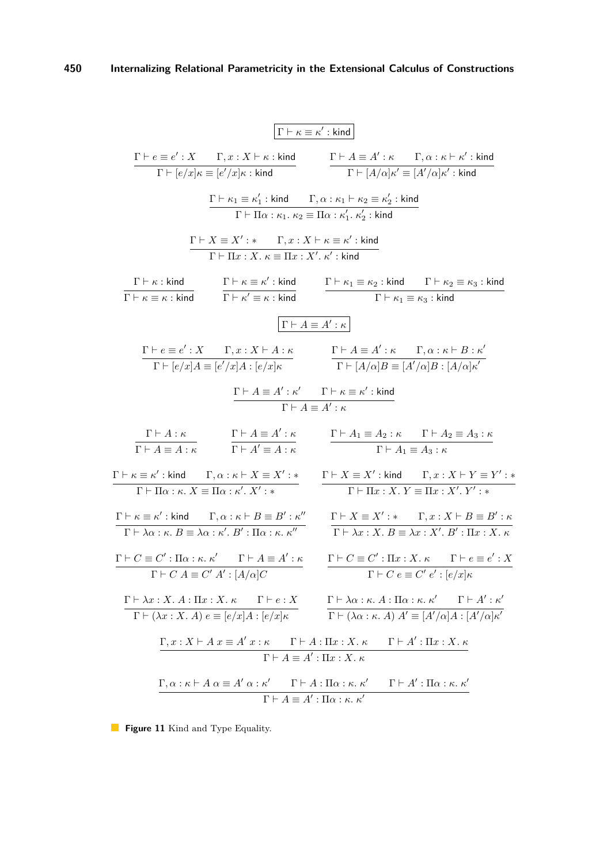<span id="page-18-0"></span>
$$
\frac{\Gamma \vdash \varepsilon \equiv e': X \qquad \Gamma, x : X \vdash \kappa : \text{kind}}{\Gamma \vdash [e/x] \kappa \equiv [e'/x] \kappa : \text{kind}} \qquad \frac{\Gamma \vdash A \equiv A': \kappa \qquad \Gamma, \alpha : \kappa \vdash \kappa': \text{kind}}{\Gamma \vdash [A/\alpha] \kappa' \equiv [A'/\alpha] \kappa': \text{kind}} \qquad \frac{\Gamma \vdash \kappa_1 \equiv \kappa_1': \text{kind}}{\Gamma \vdash \Pi \alpha : \kappa_1, \kappa_2 \equiv \Pi \alpha : \kappa_1', \kappa_2': \text{kind}} \qquad \frac{\Gamma \vdash X \equiv X': \kappa_1' : \text{kind}}{\Gamma \vdash \Pi x : X, \kappa \equiv \Pi x : \kappa_1', \kappa_2': \text{kind}} \qquad \frac{\Gamma \vdash \kappa_1 \equiv x': \text{kind}}{\Gamma \vdash \kappa \equiv x : \text{kind}} \qquad \frac{\Gamma \vdash \kappa_1 \equiv x : X \cdot \kappa' : \text{kind}}{\Gamma \vdash \kappa' \equiv \kappa : \text{kind}} \qquad \frac{\Gamma \vdash \kappa_1 \equiv \kappa_2': \text{kind}}{\Gamma \vdash \kappa_1 \equiv \kappa_3': \text{kind}} \qquad \frac{\Gamma \vdash \kappa_1 \equiv \kappa_2': \text{kind}}{\Gamma \vdash \kappa_1 \equiv \kappa_3': \text{kind}} \qquad \frac{\Gamma \vdash \kappa_1 \equiv \kappa_2': \text{kind}}{\Gamma \vdash \kappa_1 \equiv \kappa_3': \text{kind}} \qquad \frac{\Gamma \vdash A \equiv A': \kappa}{\Gamma \vdash [A/\alpha] \beta \equiv [A'/\alpha] \beta : [A/\alpha] \kappa'} \qquad \frac{\Gamma \vdash A \equiv A': \kappa}{\Gamma \vdash [A/\alpha] \beta \equiv [A'/\alpha] \beta : [A/\alpha] \kappa'} \qquad \frac{\Gamma \vdash A \equiv A': \kappa}{\Gamma \vdash A \equiv A': \kappa} \qquad \frac{\Gamma \vdash A \equiv A': \kappa}{\Gamma \vdash A \equiv A': \kappa} \qquad \frac{\Gamma \vdash A \equiv A': \kappa}{\Gamma \vdash A \equiv A': \kappa} \qquad \frac{\Gamma \vdash A \equiv A': \kappa}{\Gamma \vdash A \equiv A : \kappa} \qquad \frac
$$

**Figure 11** Kind and Type Equality.